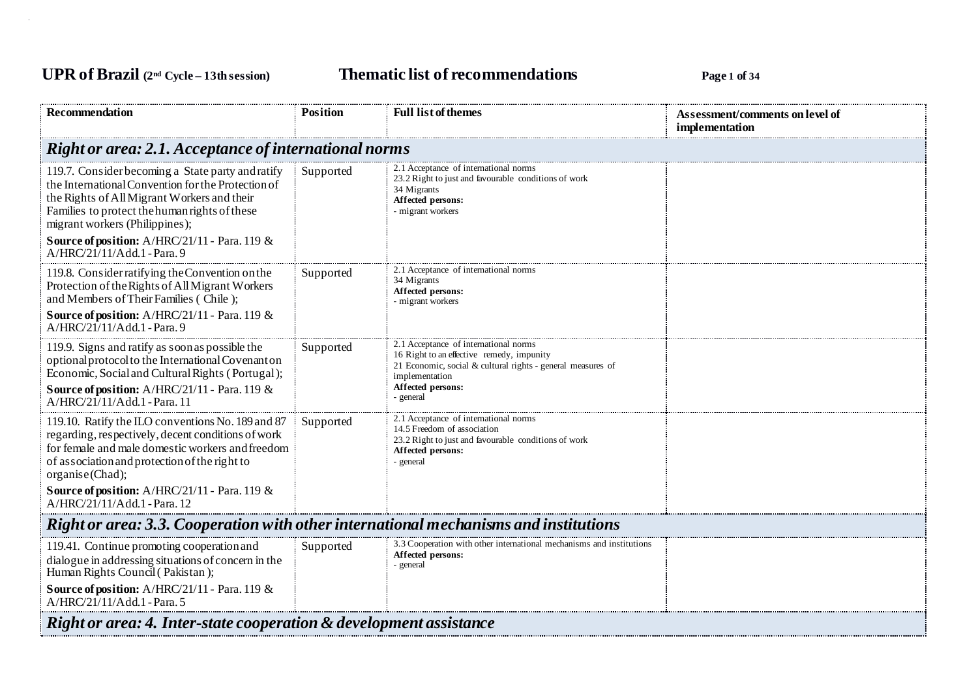## **UPR of Brazil (2nd Cycle – 13th session) Thematic list of recommendations Page <sup>1</sup> of <sup>34</sup>**

| <b>Recommendation</b>                                                                                                                                                                                                                                                                             | <b>Position</b> | <b>Full list of themes</b>                                                                                                                                          | Assessment/comments on level of<br>implementation |  |
|---------------------------------------------------------------------------------------------------------------------------------------------------------------------------------------------------------------------------------------------------------------------------------------------------|-----------------|---------------------------------------------------------------------------------------------------------------------------------------------------------------------|---------------------------------------------------|--|
| <b>Right or area: 2.1. Acceptance of international norms</b>                                                                                                                                                                                                                                      |                 |                                                                                                                                                                     |                                                   |  |
| 119.7. Consider becoming a State party and ratify<br>the International Convention for the Protection of<br>the Rights of All Migrant Workers and their<br>Families to protect the human rights of these<br>migrant workers (Philippines);<br><b>Source of position:</b> A/HRC/21/11 - Para. 119 & | Supported       | 2.1 Acceptance of international norms<br>23.2 Right to just and favourable conditions of work<br>34 Migrants<br>Affected persons:<br>- migrant workers              |                                                   |  |
| A/HRC/21/11/Add.1 - Para.9<br>119.8. Consider ratifying the Convention on the                                                                                                                                                                                                                     | Supported       | 2.1 Acceptance of international norms                                                                                                                               |                                                   |  |
| Protection of the Rights of All Migrant Workers<br>and Members of Their Families (Chile);                                                                                                                                                                                                         |                 | 34 Migrants<br>Affected persons:<br>- migrant workers                                                                                                               |                                                   |  |
| <b>Source of position:</b> A/HRC/21/11 - Para. 119 &<br>A/HRC/21/11/Add.1 - Para.9                                                                                                                                                                                                                |                 |                                                                                                                                                                     |                                                   |  |
| 119.9. Signs and ratify as soon as possible the<br>optional protocol to the International Covenant on<br>Economic, Social and Cultural Rights (Portugal);                                                                                                                                         | Supported       | 2.1 Acceptance of international norms<br>16 Right to an effective remedy, impunity<br>21 Economic, social & cultural rights - general measures of<br>implementation |                                                   |  |
| <b>Source of position:</b> A/HRC/21/11 - Para. 119 $\&$<br>A/HRC/21/11/Add.1 - Para. 11                                                                                                                                                                                                           |                 | Affected persons:<br>- general                                                                                                                                      |                                                   |  |
| 119.10. Ratify the ILO conventions No. 189 and 87<br>regarding, respectively, decent conditions of work<br>for female and male domestic workers and freedom<br>of association and protection of the right to<br>organise(Chad);                                                                   | Supported       | 2.1 Acceptance of international norms<br>14.5 Freedom of association<br>23.2 Right to just and favourable conditions of work<br>Affected persons:<br>- general      |                                                   |  |
| <b>Source of position:</b> A/HRC/21/11 - Para. 119 &<br>A/HRC/21/11/Add.1 - Para. 12                                                                                                                                                                                                              |                 |                                                                                                                                                                     |                                                   |  |
| Right or area: 3.3. Cooperation with other international mechanisms and institutions                                                                                                                                                                                                              |                 |                                                                                                                                                                     |                                                   |  |
| 119.41. Continue promoting cooperation and<br>dialogue in addressing situations of concern in the<br>Human Rights Council (Pakistan);<br><b>Source of position:</b> A/HRC/21/11 - Para. 119 &<br>A/HRC/21/11/Add.1 - Para. 5                                                                      | Supported       | 3.3 Cooperation with other international mechanisms and institutions<br>Affected persons:<br>- general                                                              |                                                   |  |
| Right or area: 4. Inter-state cooperation & development assistance                                                                                                                                                                                                                                |                 |                                                                                                                                                                     |                                                   |  |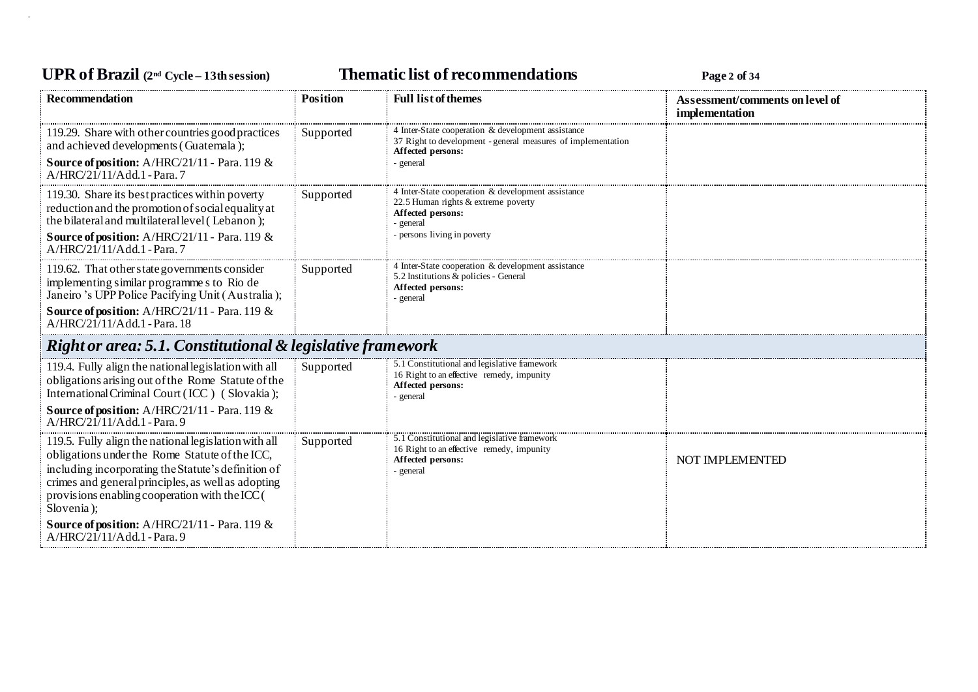## **UPR of Brazil (2nd Cycle – 13th session) Thematic list of recommendations Page <sup>2</sup> of <sup>34</sup>**

| <b>Recommendation</b>                                                                                                                                                                                                                                                                                                                                                     | <b>Position</b> | <b>Full list of themes</b>                                                                                                                               | Assessment/comments on level of |
|---------------------------------------------------------------------------------------------------------------------------------------------------------------------------------------------------------------------------------------------------------------------------------------------------------------------------------------------------------------------------|-----------------|----------------------------------------------------------------------------------------------------------------------------------------------------------|---------------------------------|
|                                                                                                                                                                                                                                                                                                                                                                           |                 |                                                                                                                                                          | implementation                  |
| 119.29. Share with other countries good practices<br>and achieved developments (Guatemala);<br><b>Source of position:</b> A/HRC/21/11 - Para. 119 &<br>A/HRC/21/11/Add.1 - Para. 7                                                                                                                                                                                        | Supported       | 4 Inter-State cooperation & development assistance<br>37 Right to development - general measures of implementation<br>Affected persons:<br>- general     |                                 |
| 119.30. Share its best practices within poverty<br>reduction and the promotion of social equality at<br>the bilateral and multilateral level (Lebanon);<br><b>Source of position:</b> A/HRC/21/11 - Para. 119 $\&$<br>$A/HRC/21/11/Add.1$ - Para. 7                                                                                                                       | Supported       | 4 Inter-State cooperation & development assistance<br>22.5 Human rights & extreme poverty<br>Affected persons:<br>- general<br>persons living in poverty |                                 |
| 119.62. That other state governments consider<br>implementing similar programme s to Rio de<br>Janeiro 's UPP Police Pacifying Unit (Australia);<br><b>Source of position:</b> A/HRC/21/11 - Para. 119 $\&$<br>A/HRC/21/11/Add.1 - Para. 18                                                                                                                               | Supported       | 4 Inter-State cooperation & development assistance<br>5.2 Institutions & policies - General<br>Affected persons:<br>- general                            |                                 |
| Right or area: 5.1. Constitutional & legislative framework                                                                                                                                                                                                                                                                                                                |                 |                                                                                                                                                          |                                 |
| 119.4. Fully align the national legislation with all<br>obligations arising out of the Rome Statute of the<br>International Criminal Court (ICC) (Slovakia);<br><b>Source of position:</b> A/HRC/21/11 - Para. 119 $\&$<br>$A/HRC/21/11/Add.1$ - Para. 9                                                                                                                  | Supported       | 5.1 Constitutional and legislative framework<br>16 Right to an effective remedy, impunity<br>Affected persons:<br>- general                              |                                 |
| 119.5. Fully align the national legislation with all<br>obligations under the Rome Statute of the ICC,<br>including incorporating the Statute's definition of<br>crimes and general principles, as well as adopting<br>provisions enabling cooperation with the ICC (<br>Slovenia);<br><b>Source of position:</b> A/HRC/21/11 - Para. 119 &<br>A/HRC/21/11/Add.1 - Para.9 | Supported       | 5.1 Constitutional and legislative framework<br>16 Right to an effective remedy, impunity<br>Affected persons:<br>- general                              | NOT IMPLEMENTED                 |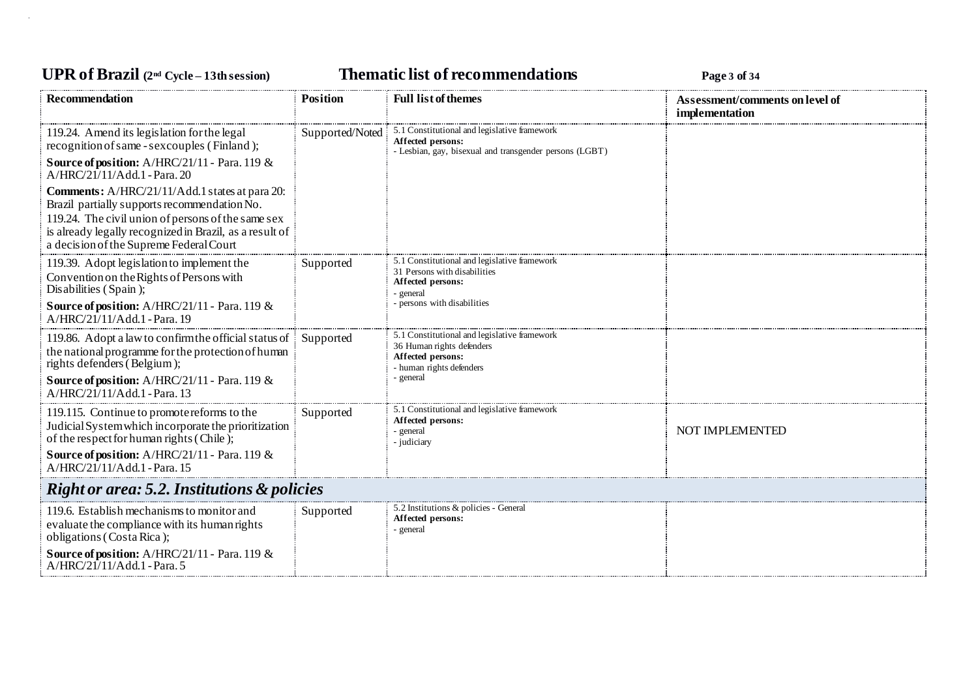## **UPR of Brazil (2nd Cycle – 13th session) Thematic list of recommendations Page <sup>3</sup> of <sup>34</sup>**

| <b>Recommendation</b>                                                                                                                                                                                                                                             | <b>Position</b> | <b>Full list of themes</b>                                                                                                   | Assessment/comments on level of<br>implementation |
|-------------------------------------------------------------------------------------------------------------------------------------------------------------------------------------------------------------------------------------------------------------------|-----------------|------------------------------------------------------------------------------------------------------------------------------|---------------------------------------------------|
| 119.24. Amend its legislation for the legal<br>recognition of same - sex couples (Finland);                                                                                                                                                                       | Supported/Noted | 5.1 Constitutional and legislative framework<br>Affected persons:<br>- Lesbian, gay, bisexual and transgender persons (LGBT) |                                                   |
| Source of position: A/HRC/21/11 - Para. 119 &<br>$A/HRC/21/11/Add.1$ - Para. 20                                                                                                                                                                                   |                 |                                                                                                                              |                                                   |
| <b>Comments:</b> A/HRC/21/11/Add.1 states at para 20:<br>Brazil partially supports recommendation No.<br>119.24. The civil union of persons of the same sex<br>is already legally recognized in Brazil, as a result of<br>a decision of the Supreme Federal Court |                 |                                                                                                                              |                                                   |
| 119.39. Adopt legislation to implement the<br>Convention on the Rights of Persons with<br>Disabilities (Spain);                                                                                                                                                   | Supported       | 5.1 Constitutional and legislative framework<br>31 Persons with disabilities<br>Affected persons:<br>- general               |                                                   |
| Source of position: A/HRC/21/11 - Para. 119 &<br>A/HRC/21/11/Add.1 - Para. 19                                                                                                                                                                                     |                 | - persons with disabilities                                                                                                  |                                                   |
| 119.86. Adopt a law to confirm the official status of<br>the national programme for the protection of human<br>rights defenders (Belgium);                                                                                                                        | Supported       | 5.1 Constitutional and legislative framework<br>36 Human rights defenders<br>Affected persons:<br>- human rights defenders   |                                                   |
| <b>Source of position:</b> A/HRC/21/11 - Para. 119 &<br>A/HRC/21/11/Add.1 - Para. 13                                                                                                                                                                              |                 | - general                                                                                                                    |                                                   |
| 119.115. Continue to promote reforms to the<br>Judicial System which incorporate the prioritization<br>of the respect for human rights (Chile);                                                                                                                   | Supported       | 5.1 Constitutional and legislative framework<br>Affected persons:<br>- general<br>- judiciary                                | NOT IMPLEMENTED                                   |
| <b>Source of position:</b> A/HRC/21/11 - Para. 119 $\&$<br>A/HRC/21/11/Add.1 - Para. 15                                                                                                                                                                           |                 |                                                                                                                              |                                                   |
| <b>Right or area: 5.2. Institutions &amp; policies</b>                                                                                                                                                                                                            |                 |                                                                                                                              |                                                   |
| 119.6. Establish mechanisms to monitor and<br>evaluate the compliance with its human rights<br>obligations (Costa Rica);                                                                                                                                          | Supported       | 5.2 Institutions & policies - General<br>Affected persons:<br>- general                                                      |                                                   |
| Source of position: A/HRC/21/11 - Para. 119 &<br>A/HRC/21/11/Add.1 - Para. 5                                                                                                                                                                                      |                 |                                                                                                                              |                                                   |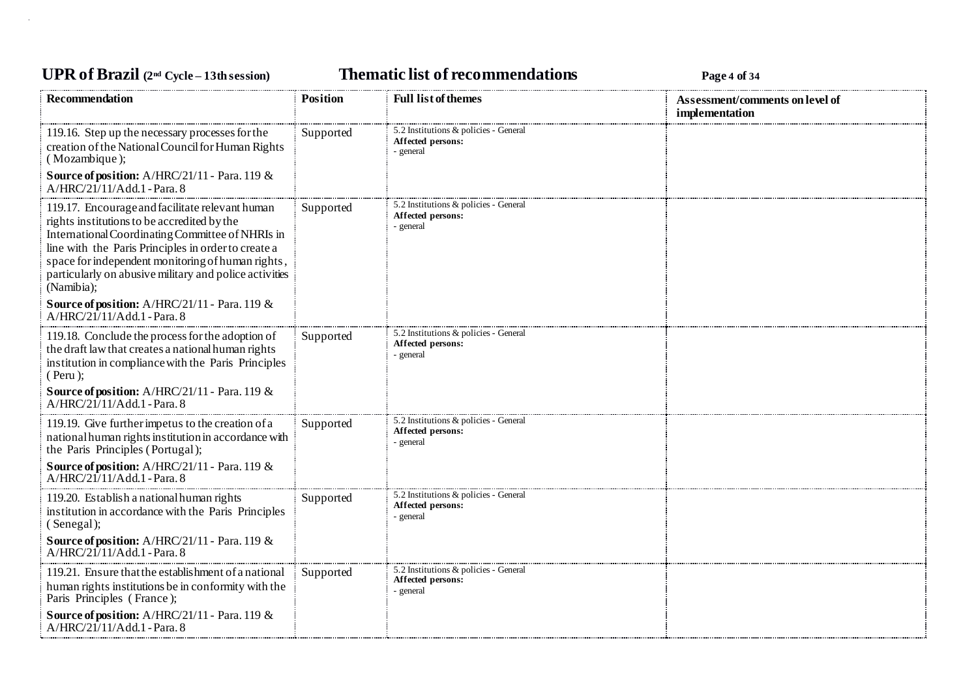## **UPR of Brazil (2nd Cycle – 13th session) Thematic list of recommendations Page <sup>4</sup> of <sup>34</sup>**

| <b>Recommendation</b>                                                                                                                                                                                                                                                                                                                  | <b>Position</b> | <b>Full list of themes</b>                                              | Assessment/comments on level of<br>implementation |
|----------------------------------------------------------------------------------------------------------------------------------------------------------------------------------------------------------------------------------------------------------------------------------------------------------------------------------------|-----------------|-------------------------------------------------------------------------|---------------------------------------------------|
| 119.16. Step up the necessary processes for the<br>creation of the National Council for Human Rights<br>(Mozambique);                                                                                                                                                                                                                  | Supported       | 5.2 Institutions & policies - General<br>Affected persons:<br>- general |                                                   |
| Source of position: A/HRC/21/11 - Para. 119 &<br>A/HRC/21/11/Add.1 - Para. 8                                                                                                                                                                                                                                                           |                 |                                                                         |                                                   |
| 119.17. Encourage and facilitate relevant human<br>rights institutions to be accredited by the<br>International Coordinating Committee of NHRIs in<br>line with the Paris Principles in order to create a<br>space for independent monitoring of human rights,<br>particularly on abusive military and police activities<br>(Namibia); | Supported       | 5.2 Institutions & policies - General<br>Affected persons:<br>- general |                                                   |
| Source of position: A/HRC/21/11 - Para. 119 &<br>$A/HRC/21/11/Add.1$ - Para. 8                                                                                                                                                                                                                                                         |                 |                                                                         |                                                   |
| 119.18. Conclude the process for the adoption of<br>the draft law that creates a national human rights<br>institution in compliance with the Paris Principles<br>$($ Peru $)$ ;                                                                                                                                                        | Supported       | 5.2 Institutions & policies - General<br>Affected persons:<br>- general |                                                   |
| <b>Source of position:</b> A/HRC/21/11 - Para. 119 &<br>A/HRC/21/11/Add.1 - Para. 8                                                                                                                                                                                                                                                    |                 |                                                                         |                                                   |
| 119.19. Give further impetus to the creation of a<br>national human rights institution in accordance with<br>the Paris Principles (Portugal);                                                                                                                                                                                          | Supported       | 5.2 Institutions & policies - General<br>Affected persons:<br>- general |                                                   |
| Source of position: A/HRC/21/11 - Para. 119 &<br>$A/HRC/21/11/Add.1$ - Para. 8                                                                                                                                                                                                                                                         |                 |                                                                         |                                                   |
| 119.20. Establish a national human rights<br>institution in accordance with the Paris Principles<br>(Senegal);                                                                                                                                                                                                                         | Supported       | 5.2 Institutions & policies - General<br>Affected persons:<br>- general |                                                   |
| Source of position: A/HRC/21/11 - Para. 119 &<br>$A/HRC/21/11/Add.1$ - Para. 8                                                                                                                                                                                                                                                         |                 |                                                                         |                                                   |
| 119.21. Ensure that the establishment of a national<br>human rights institutions be in conformity with the<br>Paris Principles (France);                                                                                                                                                                                               | Supported       | 5.2 Institutions & policies - General<br>Affected persons:<br>- general |                                                   |
| Source of position: A/HRC/21/11 - Para. 119 &<br>A/HRC/21/11/Add.1 - Para. 8                                                                                                                                                                                                                                                           |                 |                                                                         |                                                   |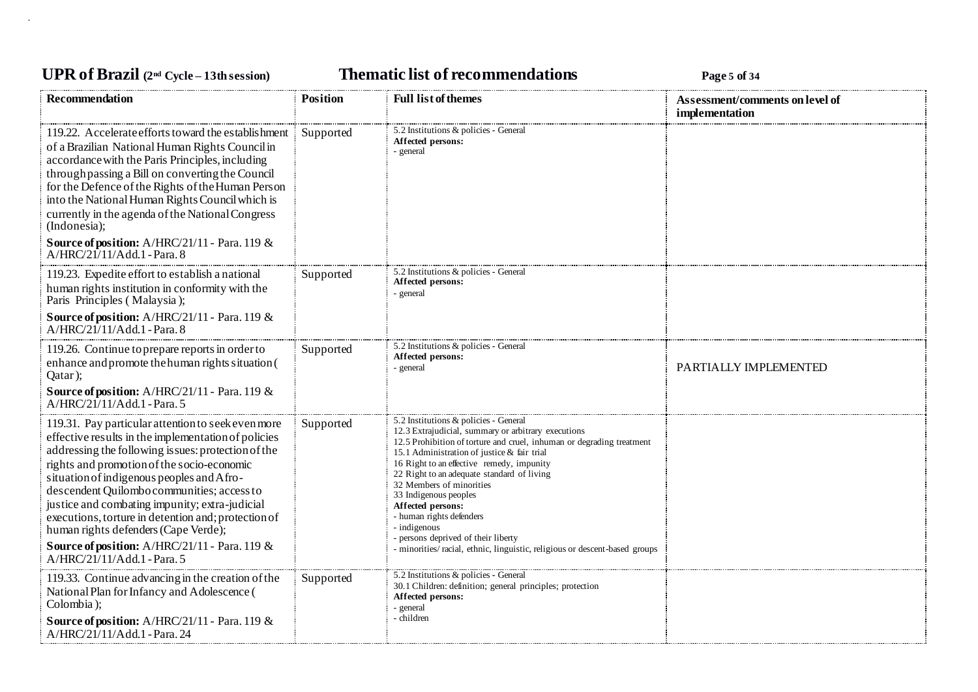## **UPR of Brazil (2nd Cycle – 13th session) Thematic list of recommendations Page <sup>5</sup> of <sup>34</sup>**

| <b>Recommendation</b>                                                                                                                                                                                                                                                                                                                                                                                                                                                                                                                     | <b>Position</b> | <b>Full list of themes</b>                                                                                                                                                                                                                                                                                                                                                                                                                                                                                                                                  | Assessment/comments on level of<br>implementation |
|-------------------------------------------------------------------------------------------------------------------------------------------------------------------------------------------------------------------------------------------------------------------------------------------------------------------------------------------------------------------------------------------------------------------------------------------------------------------------------------------------------------------------------------------|-----------------|-------------------------------------------------------------------------------------------------------------------------------------------------------------------------------------------------------------------------------------------------------------------------------------------------------------------------------------------------------------------------------------------------------------------------------------------------------------------------------------------------------------------------------------------------------------|---------------------------------------------------|
| 119.22. Accelerate efforts toward the establishment<br>of a Brazilian National Human Rights Council in<br>accordance with the Paris Principles, including<br>through passing a Bill on converting the Council<br>for the Defence of the Rights of the Human Person<br>into the National Human Rights Council which is<br>currently in the agenda of the National Congress<br>(Indonesia);<br>Source of position: A/HRC/21/11 - Para. 119 &<br>A/HRC/21/11/Add.1 - Para. 8                                                                 | Supported       | 5.2 Institutions & policies - General<br>Affected persons:<br>- general                                                                                                                                                                                                                                                                                                                                                                                                                                                                                     |                                                   |
| 119.23. Expedite effort to establish a national<br>human rights institution in conformity with the<br>Paris Principles (Malaysia);<br>Source of position: A/HRC/21/11 - Para. 119 &                                                                                                                                                                                                                                                                                                                                                       | Supported       | 5.2 Institutions & policies - General<br>Affected persons:<br>- general                                                                                                                                                                                                                                                                                                                                                                                                                                                                                     |                                                   |
| A/HRC/21/11/Add.1 - Para. 8                                                                                                                                                                                                                                                                                                                                                                                                                                                                                                               |                 |                                                                                                                                                                                                                                                                                                                                                                                                                                                                                                                                                             |                                                   |
| 119.26. Continue to prepare reports in order to<br>enhance and promote the human rights situation (<br>Qatar);                                                                                                                                                                                                                                                                                                                                                                                                                            | Supported       | 5.2 Institutions & policies - General<br>Affected persons:<br>- general                                                                                                                                                                                                                                                                                                                                                                                                                                                                                     | PARTIALLY IMPLEMENTED                             |
| <b>Source of position:</b> A/HRC/21/11 - Para. 119 $\&$<br>$A/HRC/21/11/Add.1$ - Para. 5                                                                                                                                                                                                                                                                                                                                                                                                                                                  |                 |                                                                                                                                                                                                                                                                                                                                                                                                                                                                                                                                                             |                                                   |
| 119.31. Pay particular attention to seek even more<br>effective results in the implementation of policies<br>addressing the following issues: protection of the<br>rights and promotion of the socio-economic<br>situation of indigenous peoples and Afro-<br>descendent Quilombo communities; access to<br>justice and combating impunity; extra-judicial<br>executions, torture in detention and; protection of<br>human rights defenders (Cape Verde);<br>Source of position: A/HRC/21/11 - Para. 119 &<br>A/HRC/21/11/Add.1 - Para. 5 | Supported       | 5.2 Institutions & policies - General<br>12.3 Extrajudicial, summary or arbitrary executions<br>12.5 Prohibition of torture and cruel, inhuman or degrading treatment<br>15.1 Administration of justice & fair trial<br>16 Right to an effective remedy, impunity<br>22 Right to an adequate standard of living<br>32 Members of minorities<br>33 Indigenous peoples<br>Affected persons:<br>- human rights defenders<br>- indigenous<br>- persons deprived of their liberty<br>- minorities/ racial, ethnic, linguistic, religious or descent-based groups |                                                   |
| 119.33. Continue advancing in the creation of the<br>National Plan for Infancy and Adolescence (<br>Colombia);<br><b>Source of position:</b> A/HRC/21/11 - Para. 119 $\&$<br>A/HRC/21/11/Add.1 - Para. 24                                                                                                                                                                                                                                                                                                                                 | Supported       | 5.2 Institutions & policies - General<br>30.1 Children: definition; general principles; protection<br>Affected persons:<br>- general<br>- children                                                                                                                                                                                                                                                                                                                                                                                                          |                                                   |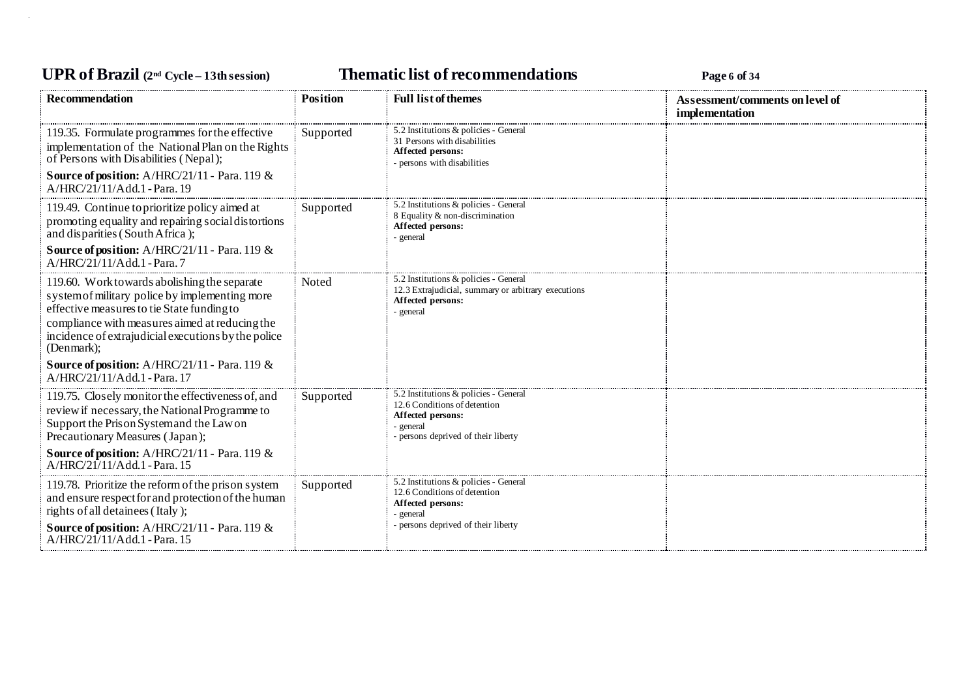## **UPR of Brazil (2nd Cycle – 13th session) Thematic list of recommendations Page <sup>6</sup> of <sup>34</sup>**

| <b>Recommendation</b>                                                                                                                                                                                                                                                                                                | <b>Position</b> | <b>Full list of themes</b>                                                                                                                     | Assessment/comments on level of<br>implementation |
|----------------------------------------------------------------------------------------------------------------------------------------------------------------------------------------------------------------------------------------------------------------------------------------------------------------------|-----------------|------------------------------------------------------------------------------------------------------------------------------------------------|---------------------------------------------------|
| 119.35. Formulate programmes for the effective<br>implementation of the National Plan on the Rights<br>of Persons with Disabilities (Nepal);<br><b>Source of position:</b> A/HRC/21/11 - Para. 119 &<br>A/HRC/21/11/Add.1 - Para. 19                                                                                 | Supported       | 5.2 Institutions & policies - General<br>31 Persons with disabilities<br>Affected persons:<br>- persons with disabilities                      |                                                   |
| 119.49. Continue to prioritize policy aimed at<br>promoting equality and repairing social distortions<br>and disparities (South Africa);<br><b>Source of position:</b> A/HRC/21/11 - Para. 119 &<br>A/HRC/21/11/Add.1 - Para. 7                                                                                      | Supported       | 5.2 Institutions & policies - General<br>8 Equality & non-discrimination<br>Affected persons:<br>- general                                     |                                                   |
| 119.60. Work towards abolishing the separate<br>system of military police by implementing more<br>effective measures to tie State funding to<br>compliance with measures aimed at reducing the<br>incidence of extrajudicial executions by the police<br>(Denmark);<br>Source of position: A/HRC/21/11 - Para. 119 & | Noted           | 5.2 Institutions & policies - General<br>12.3 Extrajudicial, summary or arbitrary executions<br>Affected persons:<br>- general                 |                                                   |
| A/HRC/21/11/Add.1 - Para. 17<br>119.75. Closely monitor the effectiveness of, and<br>review if necessary, the National Programme to<br>Support the Prison System and the Law on<br>Precautionary Measures (Japan);<br>Source of position: A/HRC/21/11 - Para. 119 &<br>A/HRC/21/11/Add.1 - Para. 15                  | Supported       | 5.2 Institutions & policies - General<br>12.6 Conditions of detention<br>Affected persons:<br>- general<br>- persons deprived of their liberty |                                                   |
| 119.78. Prioritize the reform of the prison system<br>and ensure respect for and protection of the human<br>rights of all detainees (Italy);<br><b>Source of position:</b> $A/HRC/21/11$ - Para. 119 &<br>A/HRC/21/11/Add.1 - Para. 15                                                                               | Supported       | 5.2 Institutions & policies - General<br>12.6 Conditions of detention<br>Affected persons:<br>- general<br>- persons deprived of their liberty |                                                   |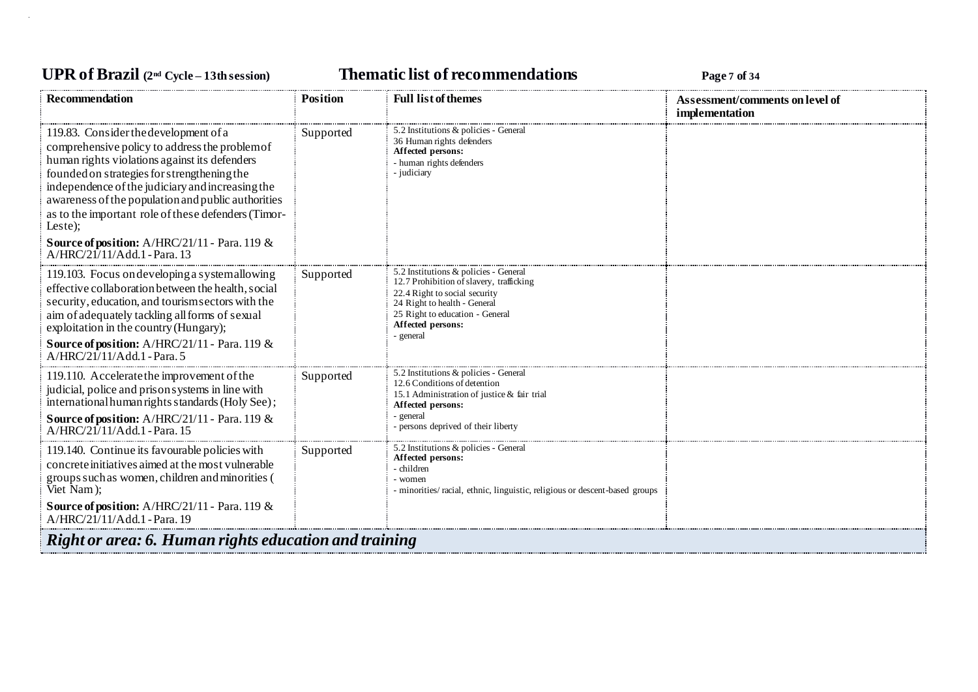## **UPR of Brazil (2nd Cycle – 13th session) Thematic list of recommendations Page <sup>7</sup> of <sup>34</sup>**

| Recommendation                                                                                                                                                                                                                                                                                                                                                                                                                                                 | <b>Position</b> | <b>Full list of themes</b>                                                                                                                                                                                              | Assessment/comments on level of<br>implementation |  |
|----------------------------------------------------------------------------------------------------------------------------------------------------------------------------------------------------------------------------------------------------------------------------------------------------------------------------------------------------------------------------------------------------------------------------------------------------------------|-----------------|-------------------------------------------------------------------------------------------------------------------------------------------------------------------------------------------------------------------------|---------------------------------------------------|--|
| 119.83. Consider the development of a<br>comprehensive policy to address the problem of<br>human rights violations against its defenders<br>founded on strategies for strengthening the<br>independence of the judiciary and increasing the<br>awareness of the population and public authorities<br>as to the important role of these defenders (Timor-<br>Leste);<br><b>Source of position:</b> A/HRC/21/11 - Para. 119 $\&$<br>A/HRC/21/11/Add.1 - Para. 13 | Supported       | 5.2 Institutions & policies - General<br>36 Human rights defenders<br>Affected persons:<br>- human rights defenders<br>- judiciary                                                                                      |                                                   |  |
| 119.103. Focus on developing a systemallowing<br>effective collaboration between the health, social<br>security, education, and tourism sectors with the<br>aim of adequately tackling all forms of sexual<br>exploitation in the country (Hungary);<br>Source of position: A/HRC/21/11 - Para. 119 &<br>A/HRC/21/11/Add.1 - Para. 5                                                                                                                           | Supported       | 5.2 Institutions & policies - General<br>12.7 Prohibition of slavery, trafficking<br>22.4 Right to social security<br>24 Right to health - General<br>25 Right to education - General<br>Affected persons:<br>- general |                                                   |  |
| 119.110. Accelerate the improvement of the<br>judicial, police and prison systems in line with<br>international human rights standards (Holy See);<br><b>Source of position:</b> A/HRC/21/11 - Para. 119 &<br>A/HRC/21/11/Add.1 - Para. 15                                                                                                                                                                                                                     | Supported       | 5.2 Institutions & policies - General<br>12.6 Conditions of detention<br>15.1 Administration of justice & fair trial<br>Affected persons:<br>- general<br>- persons deprived of their liberty                           |                                                   |  |
| 119.140. Continue its favourable policies with<br>concrete initiatives aimed at the most vulnerable<br>groups such as women, children and minorities (<br>Viet Nam);<br><b>Source of position:</b> A/HRC/21/11 - Para. 119 &<br>A/HRC/21/11/Add.1 - Para. 19                                                                                                                                                                                                   | Supported       | 5.2 Institutions & policies - General<br>Affected persons:<br>- children<br>- women<br>- minorities/ racial, ethnic, linguistic, religious or descent-based groups                                                      |                                                   |  |
| Right or area: 6. Human rights education and training                                                                                                                                                                                                                                                                                                                                                                                                          |                 |                                                                                                                                                                                                                         |                                                   |  |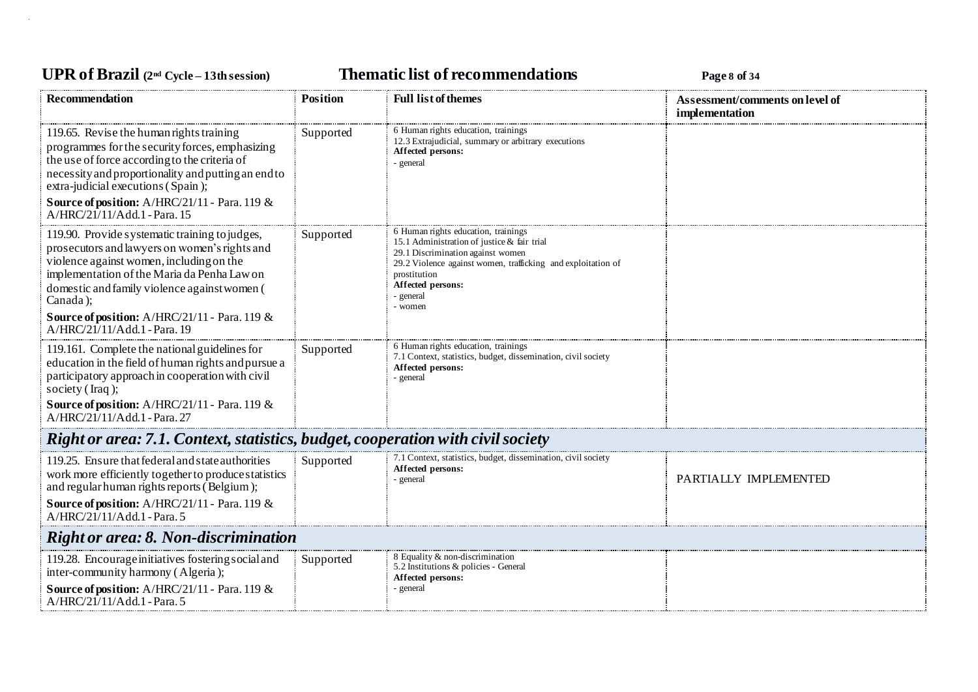# **UPR of Brazil (2nd Cycle – 13th session) Thematic list of recommendations Page <sup>8</sup> of <sup>34</sup>**

| <b>Recommendation</b>                                                                                                                                                                                                                                                                                                                               | <b>Position</b> | <b>Full list of themes</b>                                                                                                                                                                                                                           | Assessment/comments on level of<br>implementation |  |
|-----------------------------------------------------------------------------------------------------------------------------------------------------------------------------------------------------------------------------------------------------------------------------------------------------------------------------------------------------|-----------------|------------------------------------------------------------------------------------------------------------------------------------------------------------------------------------------------------------------------------------------------------|---------------------------------------------------|--|
| 119.65. Revise the human rights training<br>programmes for the security forces, emphasizing<br>the use of force according to the criteria of<br>necessity and proportionality and putting an end to<br>extra-judicial executions (Spain);<br>Source of position: A/HRC/21/11 - Para. 119 &<br>A/HRC/21/11/Add.1 - Para. 15                          | Supported       | 6 Human rights education, trainings<br>12.3 Extrajudicial, summary or arbitrary executions<br>Affected persons:<br>general                                                                                                                           |                                                   |  |
| 119.90. Provide systematic training to judges,<br>prosecutors and lawyers on women's rights and<br>violence against women, including on the<br>implementation of the Maria da Penha Law on<br>domestic and family violence against women (<br>Canada);<br><b>Source of position:</b> A/HRC/21/11 - Para. 119 $\&$<br>$A/HRC/21/11/Add.1$ - Para. 19 | Supported       | 6 Human rights education, trainings<br>15.1 Administration of justice & fair trial<br>29.1 Discrimination against women<br>29.2 Violence against women, trafficking and exploitation of<br>prostitution<br>Affected persons:<br>- general<br>- women |                                                   |  |
| 119.161. Complete the national guidelines for<br>education in the field of human rights and pursue a<br>participatory approach in cooperation with civil<br>society (Iraq);<br><b>Source of position:</b> A/HRC/21/11 - Para. 119 $\&$<br>A/HRC/21/11/Add.1 - Para. 27                                                                              | Supported       | 6 Human rights education, trainings<br>7.1 Context, statistics, budget, dissemination, civil society<br>Affected persons:<br>- general                                                                                                               |                                                   |  |
| Right or area: 7.1. Context, statistics, budget, cooperation with civil society                                                                                                                                                                                                                                                                     |                 |                                                                                                                                                                                                                                                      |                                                   |  |
| 119.25. Ensure that federal and state authorities<br>work more efficiently together to produce statistics<br>and regular human rights reports (Belgium);<br>Source of position: A/HRC/21/11 - Para. 119 &<br>A/HRC/21/11/Add.1 - Para. 5                                                                                                            | Supported       | 7.1 Context, statistics, budget, dissemination, civil society<br>Affected persons:<br>general                                                                                                                                                        | PARTIALLY IMPLEMENTED                             |  |
| <b>Right or area: 8. Non-discrimination</b>                                                                                                                                                                                                                                                                                                         |                 |                                                                                                                                                                                                                                                      |                                                   |  |
| 119.28. Encourage initiatives fostering social and<br>inter-community harmony (Algeria);<br>Source of position: A/HRC/21/11 - Para. 119 &<br>A/HRC/21/11/Add.1 - Para. 5                                                                                                                                                                            | Supported       | 8 Equality & non-discrimination<br>5.2 Institutions & policies - General<br>Affected persons:<br>- general                                                                                                                                           |                                                   |  |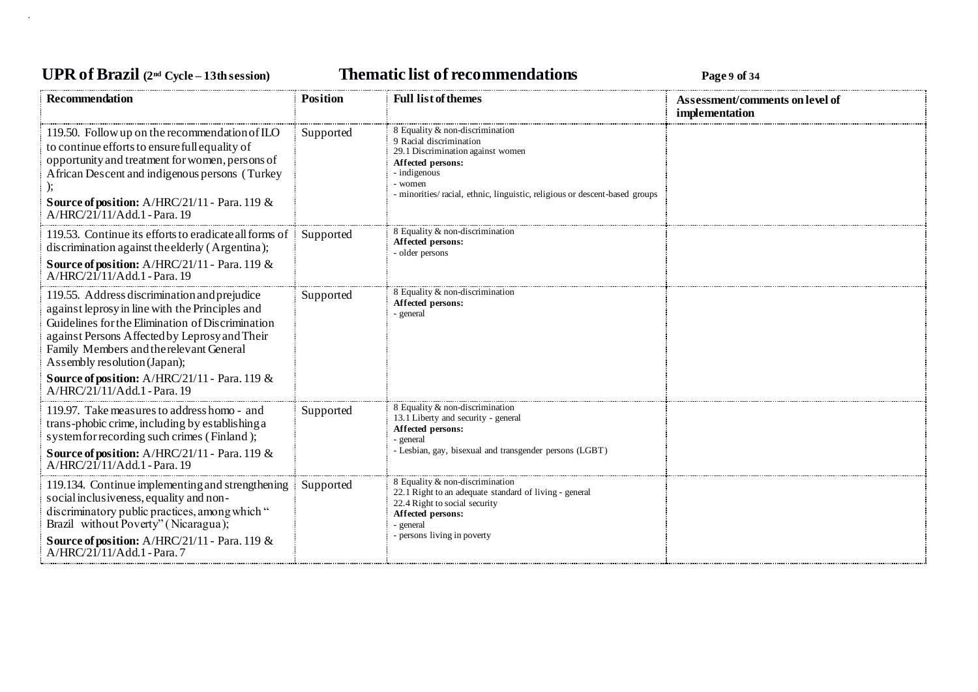## **UPR of Brazil (2nd Cycle – 13th session) Thematic list of recommendations Page <sup>9</sup> of <sup>34</sup>**

| <b>Recommendation</b>                                                                                                                                                                                                                                                                                                                                            | <b>Position</b> | <b>Full list of themes</b>                                                                                                                                                                                                    | Assessment/comments on level of |
|------------------------------------------------------------------------------------------------------------------------------------------------------------------------------------------------------------------------------------------------------------------------------------------------------------------------------------------------------------------|-----------------|-------------------------------------------------------------------------------------------------------------------------------------------------------------------------------------------------------------------------------|---------------------------------|
|                                                                                                                                                                                                                                                                                                                                                                  |                 |                                                                                                                                                                                                                               | implementation                  |
| 119.50. Follow up on the recommendation of ILO<br>to continue efforts to ensure full equality of<br>opportunity and treatment for women, persons of<br>African Descent and indigenous persons (Turkey<br><b>Source of position:</b> A/HRC/21/11 - Para. 119 &<br>A/HRC/21/11/Add.1 - Para. 19                                                                    | Supported       | 8 Equality & non-discrimination<br>9 Racial discrimination<br>29.1 Discrimination against women<br>Affected persons:<br>- indigenous<br>- women<br>- minorities/racial, ethnic, linguistic, religious or descent-based groups |                                 |
| 119.53. Continue its efforts to eradicate all forms of<br>discrimination against the elderly (Argentina);                                                                                                                                                                                                                                                        | Supported       | 8 Equality & non-discrimination<br>Affected persons:<br>- older persons                                                                                                                                                       |                                 |
| <b>Source of position:</b> A/HRC/21/11 - Para. 119 &<br>A/HRC/21/11/Add.1 - Para. 19                                                                                                                                                                                                                                                                             |                 |                                                                                                                                                                                                                               |                                 |
| 119.55. Address discrimination and prejudice<br>against leprosy in line with the Principles and<br>Guidelines for the Elimination of Discrimination<br>against Persons Affected by Leprosy and Their<br>Family Members and the relevant General<br>Assembly resolution (Japan);<br>Source of position: A/HRC/21/11 - Para. 119 &<br>A/HRC/21/11/Add.1 - Para. 19 | Supported       | 8 Equality & non-discrimination<br>Affected persons:<br>- general                                                                                                                                                             |                                 |
| 119.97. Take measures to address homo - and<br>trans-phobic crime, including by establishing a<br>system for recording such crimes (Finland);<br>Source of position: A/HRC/21/11 - Para. 119 &<br>$A/HRC/21/11/Add.1$ - Para. 19                                                                                                                                 | Supported       | 8 Equality & non-discrimination<br>13.1 Liberty and security - general<br>Affected persons:<br>- general<br>- Lesbian, gay, bisexual and transgender persons (LGBT)                                                           |                                 |
| 119.134. Continue implementing and strengthening<br>social inclusiveness, equality and non-<br>discriminatory public practices, among which "<br>Brazil without Poverty" (Nicaragua);<br>Source of position: A/HRC/21/11 - Para. 119 &<br>A/HRC/21/11/Add.1 - Para.7                                                                                             | Supported       | 8 Equality & non-discrimination<br>22.1 Right to an adequate standard of living - general<br>22.4 Right to social security<br>Affected persons:<br>- general<br>- persons living in poverty                                   |                                 |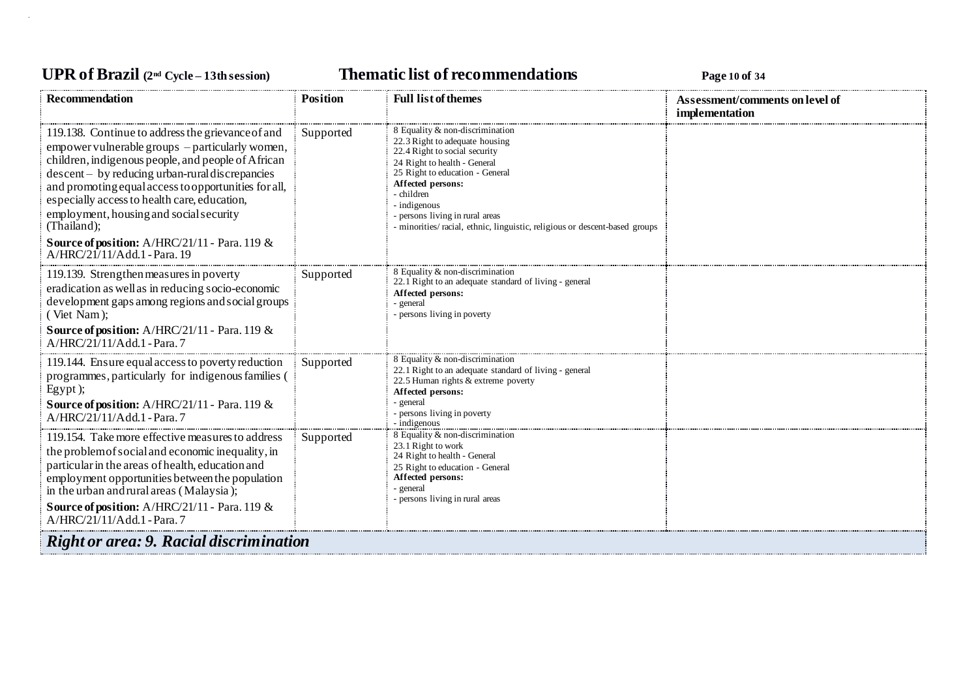## **UPR of Brazil (2nd Cycle – 13th session) Thematic list of recommendations Page <sup>10</sup> of <sup>34</sup>**

| <b>Recommendation</b>                                                                                                                                                                                                                                                                                                                                                                                                                                                      | <b>Position</b> | <b>Full list of themes</b>                                                                                                                                                                                                                                                                                                                | Assessment/comments on level of |
|----------------------------------------------------------------------------------------------------------------------------------------------------------------------------------------------------------------------------------------------------------------------------------------------------------------------------------------------------------------------------------------------------------------------------------------------------------------------------|-----------------|-------------------------------------------------------------------------------------------------------------------------------------------------------------------------------------------------------------------------------------------------------------------------------------------------------------------------------------------|---------------------------------|
| 119.138. Continue to address the grievance of and<br>empower vulnerable groups – particularly women,<br>children, indigenous people, and people of African<br>$descent - by reducing urban- rural discrepancies$<br>and promoting equal access to opportunities for all,<br>especially access to health care, education,<br>employment, housing and social security<br>(Thailand);<br><b>Source of position:</b> A/HRC/21/11 - Para. 119 &<br>A/HRC/21/11/Add.1 - Para. 19 | Supported       | 8 Equality & non-discrimination<br>22.3 Right to adequate housing<br>22.4 Right to social security<br>24 Right to health - General<br>25 Right to education - General<br>Affected persons:<br>- children<br>- indigenous<br>- persons living in rural areas<br>- minorities/racial, ethnic, linguistic, religious or descent-based groups | implementation                  |
| 119.139. Strengthen measures in poverty<br>eradication as well as in reducing socio-economic<br>development gaps among regions and social groups<br>(Viet Nam);<br><b>Source of position:</b> A/HRC/21/11 - Para. 119 &<br>A/HRC/21/11/Add.1 - Para.7                                                                                                                                                                                                                      | Supported       | 8 Equality & non-discrimination<br>22.1 Right to an adequate standard of living - general<br>Affected persons:<br>- general<br>- persons living in poverty                                                                                                                                                                                |                                 |
| 119.144. Ensure equal access to poverty reduction<br>programmes, particularly for indigenous families (<br>Egypt);<br><b>Source of position:</b> A/HRC/21/11 - Para. 119 &<br>A/HRC/21/11/Add.1 - Para.7                                                                                                                                                                                                                                                                   | Supported       | 8 Equality & non-discrimination<br>22.1 Right to an adequate standard of living - general<br>22.5 Human rights & extreme poverty<br>Affected persons:<br>- general<br>- persons living in poverty<br>- indigenous                                                                                                                         |                                 |
| 119.154. Take more effective measures to address<br>the problem of social and economic inequality, in<br>particular in the areas of health, education and<br>employment opportunities between the population<br>in the urban and rural areas (Malaysia);<br><b>Source of position:</b> A/HRC/21/11 - Para. 119 &<br>A/HRC/21/11/Add.1 - Para. 7                                                                                                                            | Supported       | 8 Equality & non-discrimination<br>23.1 Right to work<br>24 Right to health - General<br>25 Right to education - General<br>Affected persons:<br>- general<br>- persons living in rural areas                                                                                                                                             |                                 |
| <b>Right or area: 9. Racial discrimination</b>                                                                                                                                                                                                                                                                                                                                                                                                                             |                 |                                                                                                                                                                                                                                                                                                                                           |                                 |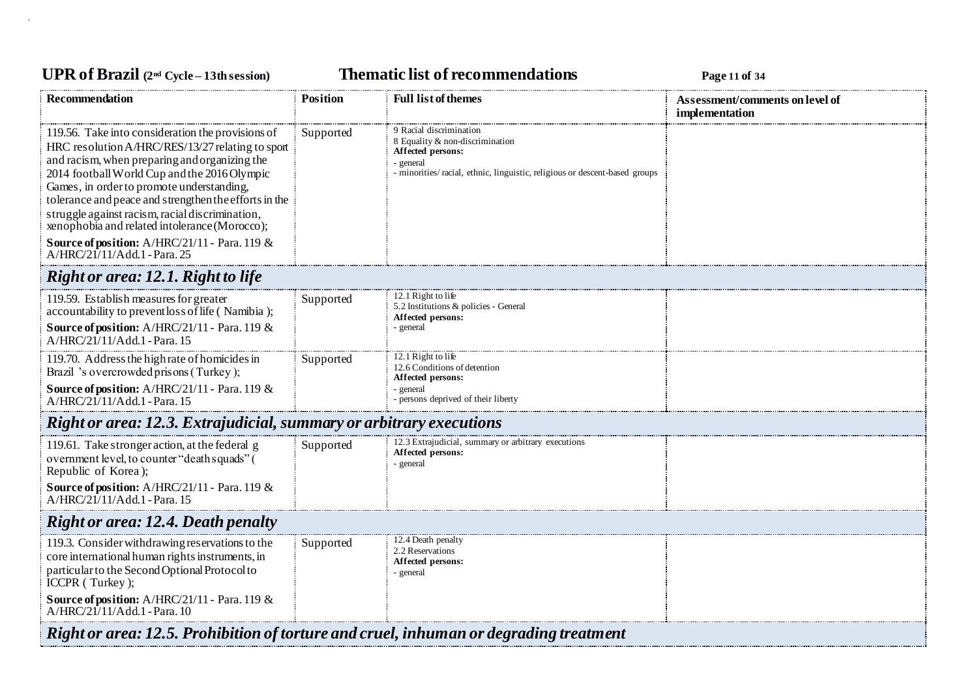# **UPR of Brazil (2nd Cycle – 13th session) Thematic list of recommendations Page <sup>11</sup> of <sup>34</sup>**

| <b>Recommendation</b>                                                                                                                                                                                                                                                                                                                                                                                                                                                                             | <b>Position</b> | <b>Full list of themes</b>                                                                                                                                                 | Assessment/comments on level of<br>implementation |  |
|---------------------------------------------------------------------------------------------------------------------------------------------------------------------------------------------------------------------------------------------------------------------------------------------------------------------------------------------------------------------------------------------------------------------------------------------------------------------------------------------------|-----------------|----------------------------------------------------------------------------------------------------------------------------------------------------------------------------|---------------------------------------------------|--|
| 119.56. Take into consideration the provisions of<br>HRC resolution A/HRC/RES/13/27 relating to sport<br>and racism, when preparing and organizing the<br>2014 football World Cup and the 2016 Olympic<br>Games, in order to promote understanding,<br>tolerance and peace and strengthen the efforts in the<br>struggle against racism, racial discrimination,<br>xenophobia and related intolerance (Morocco);<br>Source of position: A/HRC/21/11 - Para. 119 &<br>A/HRC/21/11/Add.1 - Para. 25 | Supported       | 9 Racial discrimination<br>8 Equality & non-discrimination<br>Affected persons:<br>- general<br>- minorities/racial, ethnic, linguistic, religious or descent-based groups |                                                   |  |
| Right or area: 12.1. Right to life                                                                                                                                                                                                                                                                                                                                                                                                                                                                |                 |                                                                                                                                                                            |                                                   |  |
| 119.59. Establish measures for greater<br>accountability to prevent loss of life (Namibia);<br>Source of position: A/HRC/21/11 - Para. 119 &<br>A/HRC/21/11/Add.1 - Para. 15                                                                                                                                                                                                                                                                                                                      | Supported       | 12.1 Right to life<br>5.2 Institutions & policies - General<br>Affected persons:<br>- general                                                                              |                                                   |  |
| 119.70. Address the high rate of homicides in<br>Brazil 's overcrowded prisons (Turkey);<br>Source of position: A/HRC/21/11 - Para. 119 &<br>A/HRC/21/11/Add.1 - Para. 15                                                                                                                                                                                                                                                                                                                         | Supported       | 12.1 Right to life<br>12.6 Conditions of detention<br>Affected persons:<br>- general<br>- persons deprived of their liberty                                                |                                                   |  |
| Right or area: 12.3. Extrajudicial, summary or arbitrary executions                                                                                                                                                                                                                                                                                                                                                                                                                               |                 |                                                                                                                                                                            |                                                   |  |
| 119.61. Take stronger action, at the federal g<br>overnment level, to counter "death squads" (<br>Republic of Korea);<br>Source of position: A/HRC/21/11 - Para. 119 &<br>A/HRC/21/11/Add.1 - Para. 15                                                                                                                                                                                                                                                                                            | Supported       | 12.3 Extrajudicial, summary or arbitrary executions<br>Affected persons:<br>- general                                                                                      |                                                   |  |
| <b>Right or area: 12.4. Death penalty</b>                                                                                                                                                                                                                                                                                                                                                                                                                                                         |                 |                                                                                                                                                                            |                                                   |  |
| 119.3. Consider withdrawing reservations to the<br>core international human rights instruments, in<br>particular to the Second Optional Protocol to<br>ICCPR (Turkey);<br><b>Source of position:</b> A/HRC/21/11 - Para. 119 $\&$<br>A/HRC/21/11/Add.1 - Para. 10                                                                                                                                                                                                                                 | Supported       | 12.4 Death penalty<br>2.2 Reservations<br>Affected persons:<br>- general                                                                                                   |                                                   |  |
| Right or area: 12.5. Prohibition of torture and cruel, inhuman or degrading treatment                                                                                                                                                                                                                                                                                                                                                                                                             |                 |                                                                                                                                                                            |                                                   |  |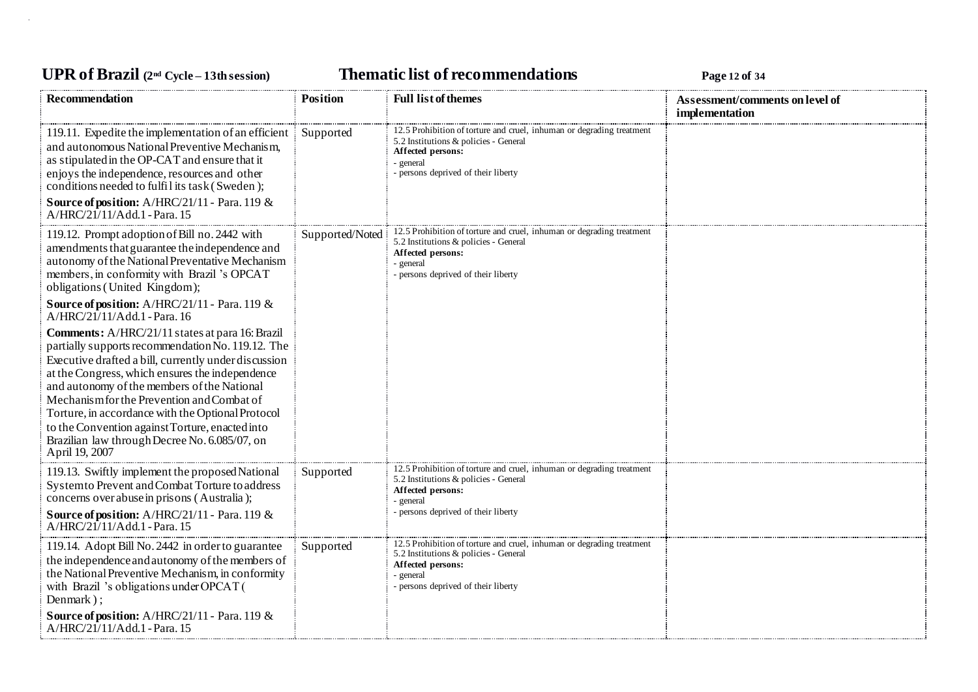## **UPR of Brazil (2nd Cycle – 13th session) Thematic list of recommendations Page <sup>12</sup> of <sup>34</sup>**

| <b>Recommendation</b>                                                                                                                                                                                                                                                                                                                                                                                                                                                                                                   | <b>Position</b> | <b>Full list of themes</b>                                                                                                                                                              | Assessment/comments on level of<br>implementation |
|-------------------------------------------------------------------------------------------------------------------------------------------------------------------------------------------------------------------------------------------------------------------------------------------------------------------------------------------------------------------------------------------------------------------------------------------------------------------------------------------------------------------------|-----------------|-----------------------------------------------------------------------------------------------------------------------------------------------------------------------------------------|---------------------------------------------------|
| 119.11. Expedite the implementation of an efficient<br>and autonomous National Preventive Mechanism,<br>as stipulated in the OP-CAT and ensure that it<br>enjoys the independence, resources and other<br>conditions needed to fulfil its task (Sweden);<br>Source of position: A/HRC/21/11 - Para. 119 &<br>A/HRC/21/11/Add.1 - Para. 15                                                                                                                                                                               | Supported       | 12.5 Prohibition of torture and cruel, inhuman or degrading treatment<br>5.2 Institutions & policies - General<br>Affected persons:<br>- general<br>- persons deprived of their liberty |                                                   |
| 119.12. Prompt adoption of Bill no. 2442 with<br>amendments that guarantee the independence and<br>autonomy of the National Preventative Mechanism<br>members, in conformity with Brazil 's OPCAT<br>obligations (United Kingdom);<br><b>Source of position:</b> $A/HRC/21/11$ - Para. 119 &                                                                                                                                                                                                                            | Supported/Noted | 12.5 Prohibition of torture and cruel, inhuman or degrading treatment<br>5.2 Institutions & policies - General<br>Affected persons:<br>- general<br>- persons deprived of their liberty |                                                   |
| A/HRC/21/11/Add.1 - Para. 16<br>Comments: A/HRC/21/11 states at para 16: Brazil<br>partially supports recommendation No. 119.12. The<br>Executive drafted a bill, currently under discussion<br>at the Congress, which ensures the independence<br>and autonomy of the members of the National<br>Mechanism for the Prevention and Combat of<br>Torture, in accordance with the Optional Protocol<br>to the Convention against Torture, enacted into<br>Brazilian law through Decree No. 6.085/07, on<br>April 19, 2007 |                 |                                                                                                                                                                                         |                                                   |
| 119.13. Swiftly implement the proposed National<br>Systemto Prevent and Combat Torture to address<br>concerns over abuse in prisons (Australia);<br>Source of position: A/HRC/21/11 - Para. 119 &<br>A/HRC/21/11/Add.1 - Para. 15                                                                                                                                                                                                                                                                                       | Supported       | 12.5 Prohibition of torture and cruel, inhuman or degrading treatment<br>5.2 Institutions & policies - General<br>Affected persons:<br>- general<br>- persons deprived of their liberty |                                                   |
| 119.14. Adopt Bill No. 2442 in order to guarantee<br>the independence and autonomy of the members of<br>the National Preventive Mechanism, in conformity<br>with Brazil 's obligations under OPCAT (<br>Denmark);                                                                                                                                                                                                                                                                                                       | Supported       | 12.5 Prohibition of torture and cruel, inhuman or degrading treatment<br>5.2 Institutions & policies - General<br>Affected persons:<br>- general<br>- persons deprived of their liberty |                                                   |
| Source of position: A/HRC/21/11 - Para. 119 &<br>A/HRC/21/11/Add.1 - Para. 15                                                                                                                                                                                                                                                                                                                                                                                                                                           |                 |                                                                                                                                                                                         |                                                   |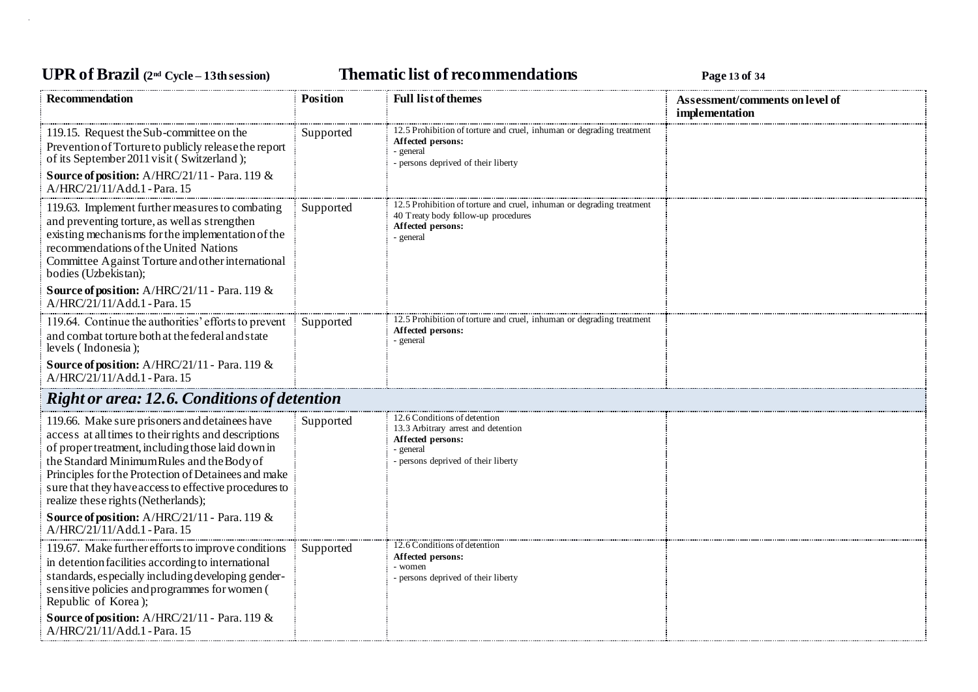## **UPR of Brazil (2nd Cycle – 13th session) Thematic list of recommendations Page <sup>13</sup> of <sup>34</sup>**

| Recommendation                                                                                                                                                                                                                                                                                                                                                   | <b>Position</b> | <b>Full list of themes</b>                                                                                                                     | Assessment/comments on level of<br>implementation |
|------------------------------------------------------------------------------------------------------------------------------------------------------------------------------------------------------------------------------------------------------------------------------------------------------------------------------------------------------------------|-----------------|------------------------------------------------------------------------------------------------------------------------------------------------|---------------------------------------------------|
| 119.15. Request the Sub-committee on the<br>Prevention of Torture to publicly release the report<br>of its September 2011 visit (Switzerland);<br>Source of position: A/HRC/21/11 - Para. 119 &<br>A/HRC/21/11/Add.1 - Para. 15                                                                                                                                  | Supported       | 12.5 Prohibition of torture and cruel, inhuman or degrading treatment<br>Affected persons:<br>- general<br>- persons deprived of their liberty |                                                   |
| 119.63. Implement further measures to combating<br>and preventing torture, as well as strengthen<br>existing mechanisms for the implementation of the<br>recommendations of the United Nations<br>Committee Against Torture and other international<br>bodies (Uzbekistan);                                                                                      | Supported       | 12.5 Prohibition of torture and cruel, inhuman or degrading treatment<br>40 Treaty body follow-up procedures<br>Affected persons:<br>- general |                                                   |
| Source of position: A/HRC/21/11 - Para. 119 &<br>A/HRC/21/11/Add.1 - Para. 15                                                                                                                                                                                                                                                                                    |                 |                                                                                                                                                |                                                   |
| 119.64. Continue the authorities' efforts to prevent<br>and combat torture both at the federal and state<br>levels (Indonesia);                                                                                                                                                                                                                                  | Supported       | 12.5 Prohibition of torture and cruel, inhuman or degrading treatment<br>Affected persons:<br>- general                                        |                                                   |
| Source of position: A/HRC/21/11 - Para. 119 &<br>A/HRC/21/11/Add.1 - Para. 15                                                                                                                                                                                                                                                                                    |                 |                                                                                                                                                |                                                   |
| <b>Right or area: 12.6. Conditions of detention</b>                                                                                                                                                                                                                                                                                                              |                 |                                                                                                                                                |                                                   |
| 119.66. Make sure prisoners and detainees have<br>access at all times to their rights and descriptions<br>of proper treatment, including those laid down in<br>the Standard Minimum Rules and the Body of<br>Principles for the Protection of Detainees and make<br>sure that they have access to effective procedures to<br>realize these rights (Netherlands); | Supported       | 12.6 Conditions of detention<br>13.3 Arbitrary arrest and detention<br>Affected persons:<br>- general<br>persons deprived of their liberty     |                                                   |
| Source of position: A/HRC/21/11 - Para. 119 &<br>A/HRC/21/11/Add.1 - Para. 15                                                                                                                                                                                                                                                                                    |                 |                                                                                                                                                |                                                   |
| 119.67. Make further efforts to improve conditions<br>in detention facilities according to international<br>standards, especially including developing gender-<br>sensitive policies and programmes for women (<br>Republic of Korea);                                                                                                                           | Supported       | 12.6 Conditions of detention<br>Affected persons:<br>- women<br>persons deprived of their liberty                                              |                                                   |
| Source of position: A/HRC/21/11 - Para. 119 &<br>A/HRC/21/11/Add.1 - Para. 15                                                                                                                                                                                                                                                                                    |                 |                                                                                                                                                |                                                   |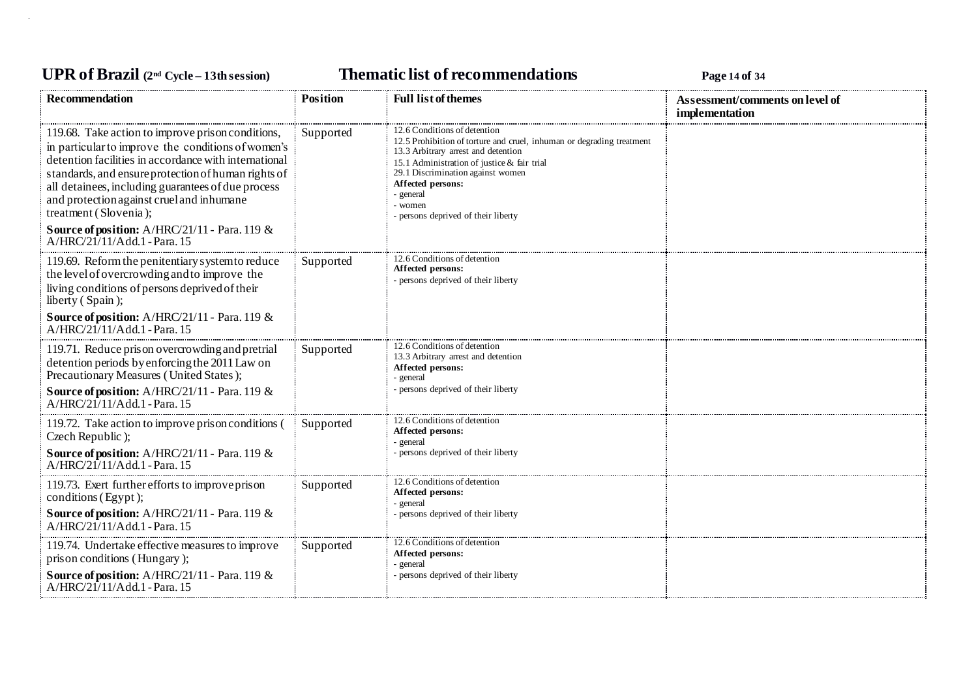## **UPR of Brazil (2nd Cycle – 13th session) Thematic list of recommendations Page <sup>14</sup> of <sup>34</sup>**

| <b>Recommendation</b>                                                                                                                                                                                                                                                                                                                                                                                                                         | <b>Position</b> | <b>Full list of themes</b>                                                                                                                                                                                                                                                                                           | Assessment/comments on level of<br>implementation |
|-----------------------------------------------------------------------------------------------------------------------------------------------------------------------------------------------------------------------------------------------------------------------------------------------------------------------------------------------------------------------------------------------------------------------------------------------|-----------------|----------------------------------------------------------------------------------------------------------------------------------------------------------------------------------------------------------------------------------------------------------------------------------------------------------------------|---------------------------------------------------|
| 119.68. Take action to improve prison conditions,<br>in particular to improve the conditions of women's<br>detention facilities in accordance with international<br>standards, and ensure protection of human rights of<br>all detainees, including guarantees of due process<br>and protection against cruel and inhumane<br>treatment (Slovenia);<br><b>Source of position:</b> $A/HRC/21/11$ - Para. 119 &<br>A/HRC/21/11/Add.1 - Para. 15 | Supported       | 12.6 Conditions of detention<br>12.5 Prohibition of torture and cruel, inhuman or degrading treatment<br>13.3 Arbitrary arrest and detention<br>15.1 Administration of justice & fair trial<br>29.1 Discrimination against women<br>Affected persons:<br>- general<br>- women<br>- persons deprived of their liberty |                                                   |
| 119.69. Reform the penitentiary system to reduce<br>the level of overcrowding and to improve the<br>living conditions of persons deprived of their<br>liberty (Spain);<br>Source of position: A/HRC/21/11 - Para. 119 &                                                                                                                                                                                                                       | Supported       | 12.6 Conditions of detention<br>Affected persons:<br>- persons deprived of their liberty                                                                                                                                                                                                                             |                                                   |
| A/HRC/21/11/Add.1 - Para. 15                                                                                                                                                                                                                                                                                                                                                                                                                  |                 |                                                                                                                                                                                                                                                                                                                      |                                                   |
| 119.71. Reduce prison overcrowding and pretrial<br>detention periods by enforcing the 2011 Law on<br>Precautionary Measures (United States);                                                                                                                                                                                                                                                                                                  | Supported       | 12.6 Conditions of detention<br>13.3 Arbitrary arrest and detention<br>Affected persons:<br>- general                                                                                                                                                                                                                |                                                   |
| Source of position: A/HRC/21/11 - Para. 119 &<br>A/HRC/21/11/Add.1 - Para. 15                                                                                                                                                                                                                                                                                                                                                                 |                 | - persons deprived of their liberty                                                                                                                                                                                                                                                                                  |                                                   |
| 119.72. Take action to improve prison conditions (<br>Czech Republic);                                                                                                                                                                                                                                                                                                                                                                        | Supported       | 12.6 Conditions of detention<br>Affected persons:<br>- general                                                                                                                                                                                                                                                       |                                                   |
| Source of position: A/HRC/21/11 - Para. 119 &<br>A/HRC/21/11/Add.1 - Para. 15                                                                                                                                                                                                                                                                                                                                                                 |                 | - persons deprived of their liberty                                                                                                                                                                                                                                                                                  |                                                   |
| 119.73. Exert further efforts to improve prison<br>conditions (Egypt);                                                                                                                                                                                                                                                                                                                                                                        | Supported       | 12.6 Conditions of detention<br>Affected persons:                                                                                                                                                                                                                                                                    |                                                   |
| Source of position: A/HRC/21/11 - Para. 119 &<br>A/HRC/21/11/Add.1 - Para. 15                                                                                                                                                                                                                                                                                                                                                                 |                 | - general<br>- persons deprived of their liberty                                                                                                                                                                                                                                                                     |                                                   |
| 119.74. Undertake effective measures to improve<br>prison conditions (Hungary);                                                                                                                                                                                                                                                                                                                                                               | Supported       | 12.6 Conditions of detention<br>Affected persons:<br>- general                                                                                                                                                                                                                                                       |                                                   |
| Source of position: A/HRC/21/11 - Para. 119 &<br>A/HRC/21/11/Add.1 - Para. 15                                                                                                                                                                                                                                                                                                                                                                 |                 | - persons deprived of their liberty                                                                                                                                                                                                                                                                                  |                                                   |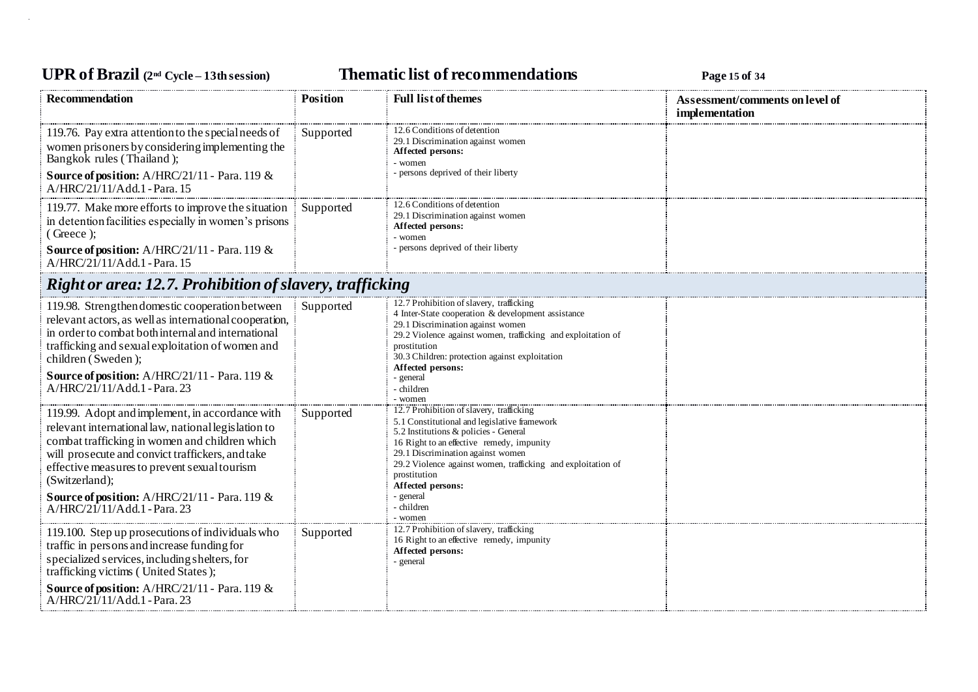## **UPR of Brazil (2nd Cycle – 13th session) Thematic list of recommendations Page <sup>15</sup> of <sup>34</sup>**

| Recommendation                                                                                                                                                                                                                                                                                                                                                         | <b>Position</b> | <b>Full list of themes</b>                                                                                                                                                                                                                                                                                                                                     | Assessment/comments on level of<br>implementation |
|------------------------------------------------------------------------------------------------------------------------------------------------------------------------------------------------------------------------------------------------------------------------------------------------------------------------------------------------------------------------|-----------------|----------------------------------------------------------------------------------------------------------------------------------------------------------------------------------------------------------------------------------------------------------------------------------------------------------------------------------------------------------------|---------------------------------------------------|
| 119.76. Pay extra attention to the special needs of<br>women prisoners by considering implementing the<br>Bangkok rules (Thailand);<br>Source of position: A/HRC/21/11 - Para. 119 &<br>A/HRC/21/11/Add.1 - Para. 15                                                                                                                                                   | Supported       | 12.6 Conditions of detention<br>29.1 Discrimination against women<br>Affected persons:<br>- women<br>- persons deprived of their liberty                                                                                                                                                                                                                       |                                                   |
| 119.77. Make more efforts to improve the situation<br>in detention facilities especially in women's prisons<br>$( $ . Greece $);$<br>Source of position: A/HRC/21/11 - Para. 119 &<br>A/HRC/21/11/Add.1 - Para. 15                                                                                                                                                     | Supported       | 12.6 Conditions of detention<br>29.1 Discrimination against women<br>Affected persons:<br>- women<br>- persons deprived of their liberty                                                                                                                                                                                                                       |                                                   |
| <b>Right or area: 12.7. Prohibition of slavery, trafficking</b>                                                                                                                                                                                                                                                                                                        |                 |                                                                                                                                                                                                                                                                                                                                                                |                                                   |
| 119.98. Strengthen domestic cooperation between<br>relevant actors, as well as international cooperation,<br>in order to combat both internal and international<br>trafficking and sexual exploitation of women and<br>children (Sweden);<br>Source of position: A/HRC/21/11 - Para. 119 &<br>A/HRC/21/11/Add.1 - Para. 23                                             | Supported       | 12.7 Prohibition of slavery, trafficking<br>4 Inter-State cooperation & development assistance<br>29.1 Discrimination against women<br>29.2 Violence against women, trafficking and exploitation of<br>prostitution<br>30.3 Children: protection against exploitation<br>Affected persons:<br>- general<br>- children<br>- women                               |                                                   |
| 119.99. Adopt and implement, in accordance with<br>relevant international law, national legislation to<br>combat trafficking in women and children which<br>will prosecute and convict traffickers, and take<br>effective measures to prevent sexual tourism<br>(Switzerland);<br><b>Source of position:</b> A/HRC/21/11 - Para. 119 &<br>A/HRC/21/11/Add.1 - Para. 23 | Supported       | 12.7 Prohibition of slavery, trafficking<br>5.1 Constitutional and legislative framework<br>5.2 Institutions & policies - General<br>16 Right to an effective remedy, impunity<br>29.1 Discrimination against women<br>29.2 Violence against women, trafficking and exploitation of<br>prostitution<br>Affected persons:<br>- general<br>- children<br>- women |                                                   |
| 119.100. Step up prosecutions of individuals who<br>traffic in persons and increase funding for<br>specialized services, including shelters, for<br>trafficking victims (United States);<br>Source of position: A/HRC/21/11 - Para. 119 &<br>A/HRC/21/11/Add.1 - Para. 23                                                                                              | Supported       | 12.7 Prohibition of slavery, trafficking<br>16 Right to an effective remedy, impunity<br>Affected persons:<br>- general                                                                                                                                                                                                                                        |                                                   |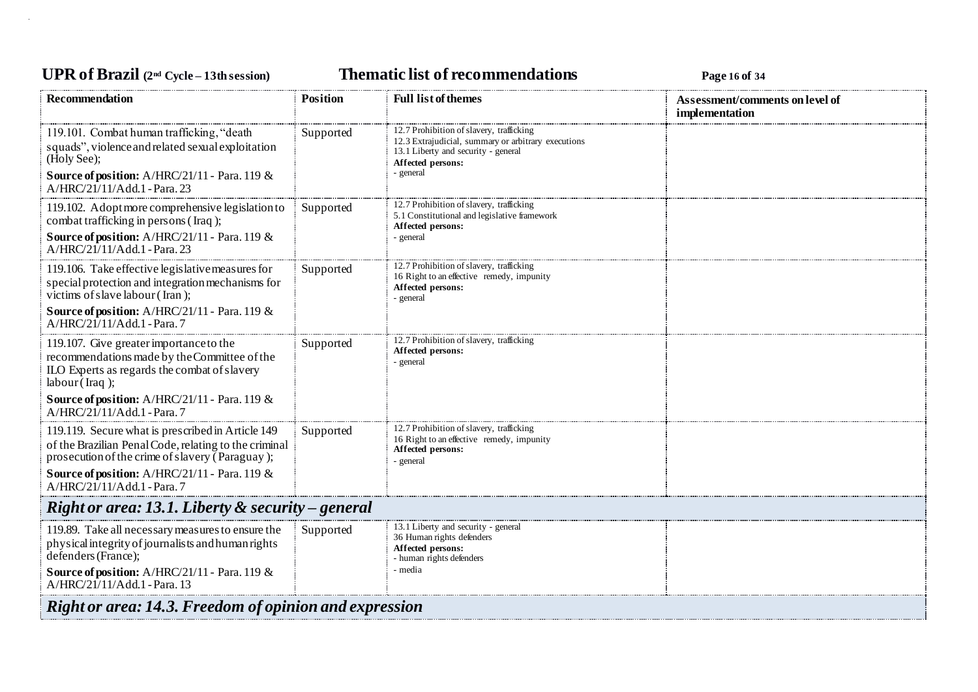# **UPR of Brazil (2nd Cycle – 13th session) Thematic list of recommendations Page <sup>16</sup> of <sup>34</sup>**

| Recommendation                                                                                                                                                 | <b>Position</b> | <b>Full list of themes</b>                                                                                                                                               | Assessment/comments on level of<br>implementation |  |  |
|----------------------------------------------------------------------------------------------------------------------------------------------------------------|-----------------|--------------------------------------------------------------------------------------------------------------------------------------------------------------------------|---------------------------------------------------|--|--|
| 119.101. Combat human trafficking, "death<br>squads", violence and related sexual exploitation<br>(Holy See);<br>Source of position: A/HRC/21/11 - Para. 119 & | Supported       | 12.7 Prohibition of slavery, trafficking<br>12.3 Extrajudicial, summary or arbitrary executions<br>13.1 Liberty and security - general<br>Affected persons:<br>- general |                                                   |  |  |
| A/HRC/21/11/Add.1 - Para. 23                                                                                                                                   |                 |                                                                                                                                                                          |                                                   |  |  |
| 119.102. Adopt more comprehensive legislation to<br>combat trafficking in persons (Iraq);                                                                      | Supported       | 12.7 Prohibition of slavery, trafficking<br>5.1 Constitutional and legislative framework<br>Affected persons:                                                            |                                                   |  |  |
| Source of position: A/HRC/21/11 - Para. 119 &<br>A/HRC/21/11/Add.1 - Para. 23                                                                                  |                 | - general                                                                                                                                                                |                                                   |  |  |
| 119.106. Take effective legislative measures for<br>special protection and integration mechanisms for<br>victims of slave labour (Iran);                       | Supported       | 12.7 Prohibition of slavery, trafficking<br>16 Right to an effective remedy, impunity<br>Affected persons:<br>- general                                                  |                                                   |  |  |
| Source of position: A/HRC/21/11 - Para. 119 &<br>A/HRC/21/11/Add.1 - Para.7                                                                                    |                 |                                                                                                                                                                          |                                                   |  |  |
| 119.107. Give greater importance to the<br>recommendations made by the Committee of the<br>ILO Experts as regards the combat of slavery<br>labor(Iraq);        | Supported       | 12.7 Prohibition of slavery, trafficking<br>Affected persons:<br>- general                                                                                               |                                                   |  |  |
| Source of position: A/HRC/21/11 - Para. 119 &<br>A/HRC/21/11/Add.1 - Para.7                                                                                    |                 |                                                                                                                                                                          |                                                   |  |  |
| 119.119. Secure what is prescribed in Article 149<br>of the Brazilian Penal Code, relating to the criminal<br>prosecution of the crime of slavery (Paraguay);  | Supported       | 12.7 Prohibition of slavery, trafficking<br>16 Right to an effective remedy, impunity<br>Affected persons:<br>- general                                                  |                                                   |  |  |
| <b>Source of position:</b> A/HRC/21/11 - Para. 119 $\&$<br>A/HRC/21/11/Add.1 - Para.7                                                                          |                 |                                                                                                                                                                          |                                                   |  |  |
| Right or area: 13.1. Liberty $\&$ security – general                                                                                                           |                 |                                                                                                                                                                          |                                                   |  |  |
| 119.89. Take all necessary measures to ensure the<br>physical integrity of journalists and human rights<br>defenders (France);                                 | Supported       | 13.1 Liberty and security - general<br>36 Human rights defenders<br>Affected persons:<br>- human rights defenders                                                        |                                                   |  |  |
| <b>Source of position:</b> $A/HRC/21/11$ - Para. 119 &<br>A/HRC/21/11/Add.1 - Para. 13                                                                         |                 | - media                                                                                                                                                                  |                                                   |  |  |
| Right or area: 14.3. Freedom of opinion and expression                                                                                                         |                 |                                                                                                                                                                          |                                                   |  |  |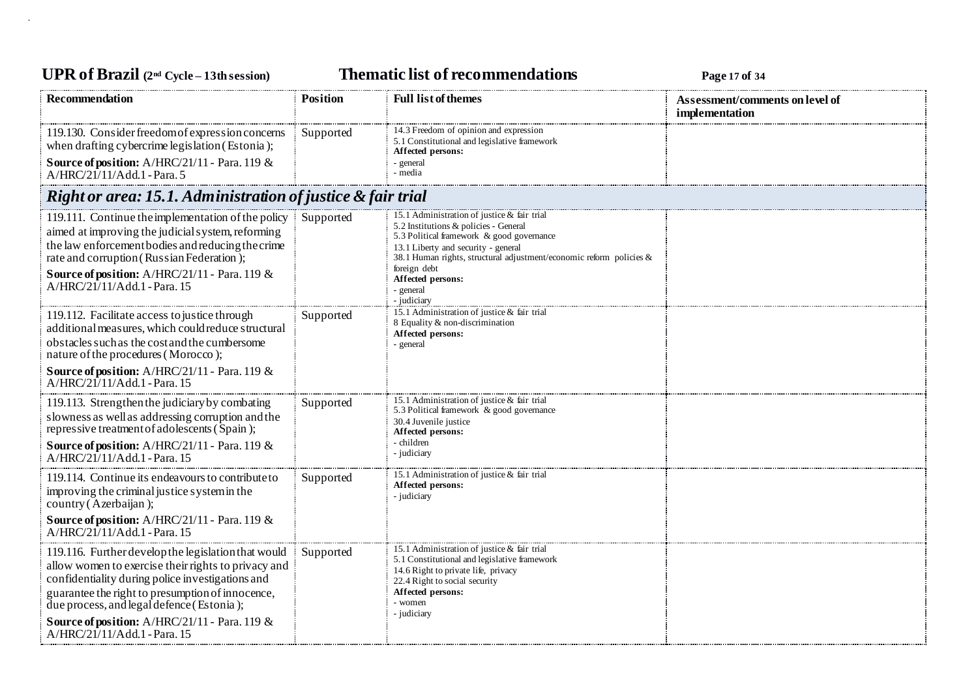## **UPR of Brazil (2nd Cycle – 13th session) Thematic list of recommendations Page <sup>17</sup> of <sup>34</sup>**

| <b>Recommendation</b>                                                                                                                                                                                                                                                                                                                            | <b>Position</b> | <b>Full list of themes</b>                                                                                                                                                                                                                                                                                          | Assessment/comments on level of<br>implementation |
|--------------------------------------------------------------------------------------------------------------------------------------------------------------------------------------------------------------------------------------------------------------------------------------------------------------------------------------------------|-----------------|---------------------------------------------------------------------------------------------------------------------------------------------------------------------------------------------------------------------------------------------------------------------------------------------------------------------|---------------------------------------------------|
| 119.130. Consider freedom of expression concerns<br>when drafting cybercrime legislation (Estonia);                                                                                                                                                                                                                                              | Supported       | 14.3 Freedom of opinion and expression<br>5.1 Constitutional and legislative framework<br>Affected persons:                                                                                                                                                                                                         |                                                   |
| Source of position: A/HRC/21/11 - Para. 119 &<br>A/HRC/21/11/Add.1 - Para. 5                                                                                                                                                                                                                                                                     |                 | - general<br>- media                                                                                                                                                                                                                                                                                                |                                                   |
| Right or area: 15.1. Administration of justice & fair trial                                                                                                                                                                                                                                                                                      |                 |                                                                                                                                                                                                                                                                                                                     |                                                   |
| 119.111. Continue the implementation of the policy<br>aimed at improving the judicial system, reforming<br>the law enforcement bodies and reducing the crime<br>rate and corruption (Russian Federation);<br>Source of position: A/HRC/21/11 - Para. 119 &<br>A/HRC/21/11/Add.1 - Para. 15                                                       | Supported       | 15.1 Administration of justice & fair trial<br>5.2 Institutions & policies - General<br>5.3 Political framework & good governance<br>13.1 Liberty and security - general<br>38.1 Human rights, structural adjustment/economic reform policies $\&$<br>foreign debt<br>Affected persons:<br>- general<br>- judiciary |                                                   |
| 119.112. Facilitate access to justice through<br>additional measures, which could reduce structural<br>obstacles such as the cost and the cumbersome<br>nature of the procedures (Morocco);<br><b>Source of position:</b> A/HRC/21/11 - Para. 119 &                                                                                              | Supported       | 15.1 Administration of justice & fair trial<br>8 Equality & non-discrimination<br>Affected persons:<br>- general                                                                                                                                                                                                    |                                                   |
| A/HRC/21/11/Add.1 - Para, 15                                                                                                                                                                                                                                                                                                                     |                 |                                                                                                                                                                                                                                                                                                                     |                                                   |
| 119.113. Strengthen the judiciary by combating<br>slowness as well as addressing corruption and the<br>repressive treatment of adolescents (Spain);                                                                                                                                                                                              | Supported       | 15.1 Administration of justice & fair trial<br>5.3 Political framework & good governance<br>30.4 Juvenile justice<br>Affected persons:                                                                                                                                                                              |                                                   |
| <b>Source of position:</b> A/HRC/21/11 - Para. 119 &<br>$A/HRC/21/11/Add.1$ - Para, 15                                                                                                                                                                                                                                                           |                 | - children<br>- judiciary                                                                                                                                                                                                                                                                                           |                                                   |
| 119.114. Continue its endeavours to contribute to<br>improving the criminal justice system in the<br>country (Azerbaijan);                                                                                                                                                                                                                       | Supported       | 15.1 Administration of justice & fair trial<br>Affected persons:<br>- judiciary                                                                                                                                                                                                                                     |                                                   |
| Source of position: A/HRC/21/11 - Para. 119 &<br>$A/HRC/21/11/Add.1$ - Para. 15                                                                                                                                                                                                                                                                  |                 |                                                                                                                                                                                                                                                                                                                     |                                                   |
| 119.116. Further develop the legislation that would<br>allow women to exercise their rights to privacy and<br>confidentiality during police investigations and<br>guarantee the right to presumption of innocence,<br>due process, and legal defence (Estonia);<br>Source of position: A/HRC/21/11 - Para. 119 &<br>A/HRC/21/11/Add.1 - Para. 15 | Supported       | 15.1 Administration of justice & fair trial<br>5.1 Constitutional and legislative framework<br>14.6 Right to private life, privacy<br>22.4 Right to social security<br>Affected persons:<br>- women<br>- judiciary                                                                                                  |                                                   |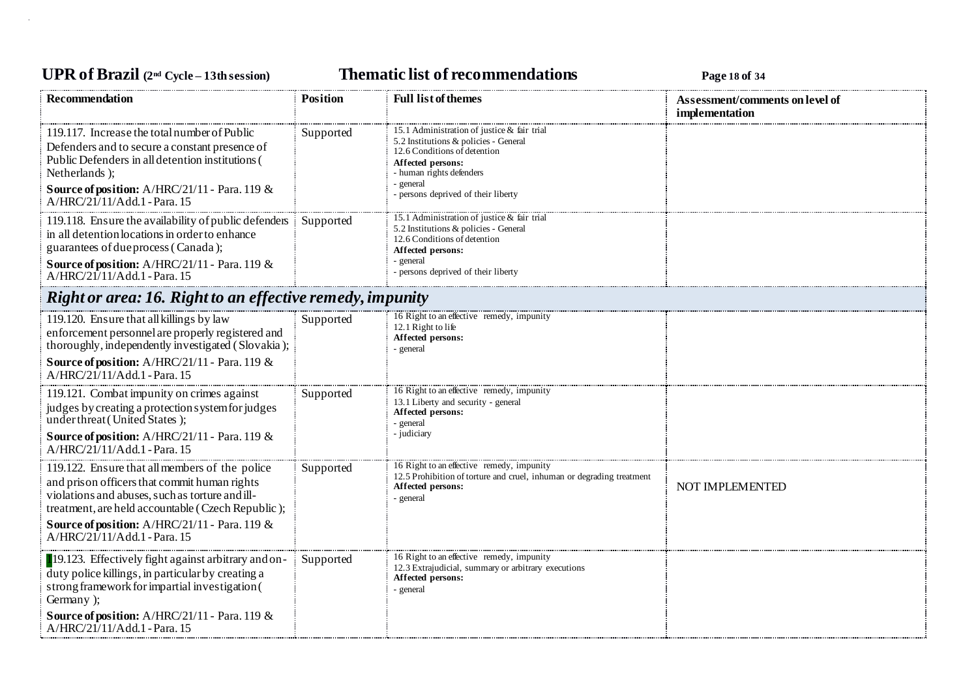## **UPR of Brazil (2nd Cycle – 13th session) Thematic list of recommendations Page <sup>18</sup> of <sup>34</sup>**

| <b>Recommendation</b>                                                                                                                                                                                                                                                                            | <b>Position</b> | <b>Full list of themes</b>                                                                                                                                                                                              | Assessment/comments on level of<br>implementation |
|--------------------------------------------------------------------------------------------------------------------------------------------------------------------------------------------------------------------------------------------------------------------------------------------------|-----------------|-------------------------------------------------------------------------------------------------------------------------------------------------------------------------------------------------------------------------|---------------------------------------------------|
| 119.117. Increase the total number of Public<br>Defenders and to secure a constant presence of<br>Public Defenders in all detention institutions (<br>Netherlands);<br>Source of position: A/HRC/21/11 - Para. 119 &<br>A/HRC/21/11/Add.1 - Para. 15                                             | Supported       | 15.1 Administration of justice & fair trial<br>5.2 Institutions & policies - General<br>12.6 Conditions of detention<br>Affected persons:<br>- human rights defenders<br>- general<br>persons deprived of their liberty |                                                   |
| 119.118. Ensure the availability of public defenders<br>in all detention locations in order to enhance<br>guarantees of due process (Canada);<br><b>Source of position:</b> $A/HRC/21/11$ - Para. 119 &<br>A/HRC/21/11/Add.1 - Para. 15                                                          | Supported       | 15.1 Administration of justice & fair trial<br>5.2 Institutions & policies - General<br>12.6 Conditions of detention<br>Affected persons:<br>- general<br>- persons deprived of their liberty                           |                                                   |
| Right or area: 16. Right to an effective remedy, impunity                                                                                                                                                                                                                                        |                 |                                                                                                                                                                                                                         |                                                   |
| 119.120. Ensure that all killings by law<br>enforcement personnel are properly registered and<br>thoroughly, independently investigated (Slovakia);<br><b>Source of position:</b> $A/HRC/21/11$ - Para. 119 &<br>A/HRC/21/11/Add.1 - Para. 15                                                    | Supported       | 16 Right to an effective remedy, impunity<br>12.1 Right to life<br>Affected persons:<br>general                                                                                                                         |                                                   |
| 119.121. Combat impunity on crimes against<br>judges by creating a protection system for judges<br>under threat (United States);<br>Source of position: A/HRC/21/11 - Para. 119 &<br>A/HRC/21/11/Add.1 - Para. 15                                                                                | Supported       | 16 Right to an effective remedy, impunity<br>13.1 Liberty and security - general<br>Affected persons:<br>- general<br>- judiciary                                                                                       |                                                   |
| 119.122. Ensure that all members of the police<br>and prison officers that commit human rights<br>violations and abuses, such as torture and ill-<br>treatment, are held accountable (Czech Republic);<br><b>Source of position:</b> $A/HRC/21/11$ - Para. 119 &<br>A/HRC/21/11/Add.1 - Para. 15 | Supported       | 16 Right to an effective remedy, impunity<br>12.5 Prohibition of torture and cruel, inhuman or degrading treatment<br>Affected persons:<br>- general                                                                    | NOT IMPLEMENTED                                   |
| 19.123. Effectively fight against arbitrary and on-<br>duty police killings, in particular by creating a<br>strong framework for impartial investigation (<br>Germany );<br>Source of position: A/HRC/21/11 - Para. 119 &<br>A/HRC/21/11/Add.1 - Para. 15                                        | Supported       | 16 Right to an effective remedy, impunity<br>12.3 Extrajudicial, summary or arbitrary executions<br>Affected persons:<br>- general                                                                                      |                                                   |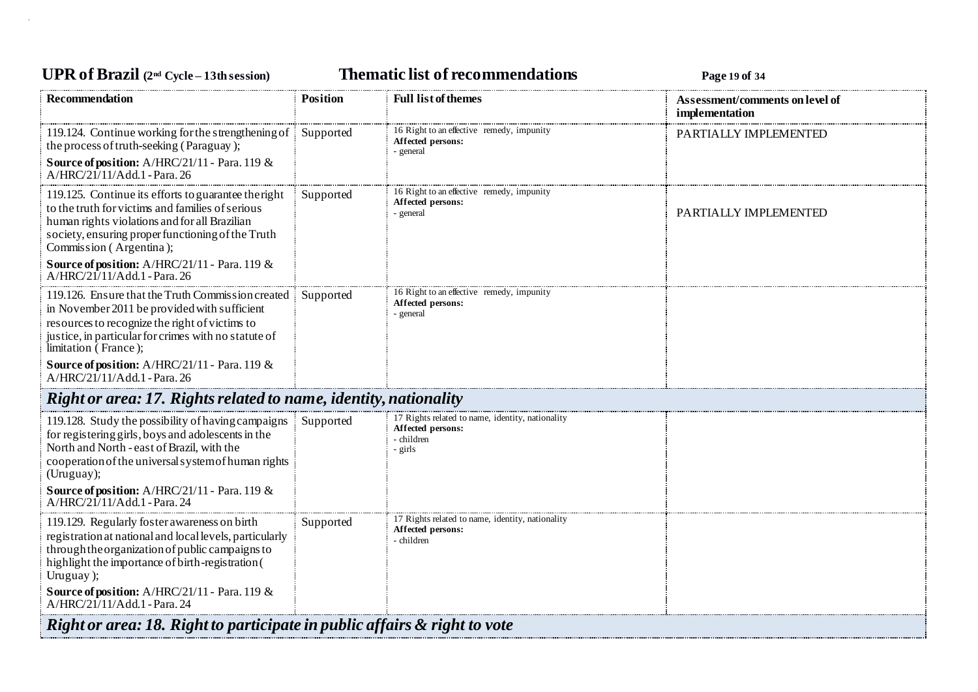## **UPR of Brazil (2nd Cycle – 13th session) Thematic list of recommendations Page <sup>19</sup> of <sup>34</sup>**

| <b>Recommendation</b>                                                                                                                                                                                                                     | <b>Position</b> | <b>Full list of themes</b>                                                                     | Assessment/comments on level of<br>implementation |  |
|-------------------------------------------------------------------------------------------------------------------------------------------------------------------------------------------------------------------------------------------|-----------------|------------------------------------------------------------------------------------------------|---------------------------------------------------|--|
| 119.124. Continue working for the strengthening of<br>the process of truth-seeking (Paraguay);<br>Source of position: A/HRC/21/11 - Para. 119 &                                                                                           | Supported       | 16 Right to an effective remedy, impunity<br>Affected persons:<br>- general                    | PARTIALLY IMPLEMENTED                             |  |
| A/HRC/21/11/Add.1 - Para. 26                                                                                                                                                                                                              |                 |                                                                                                |                                                   |  |
| 119.125. Continue its efforts to guarantee the right<br>to the truth for victims and families of serious<br>human rights violations and for all Brazilian<br>society, ensuring proper functioning of the Truth<br>Commission (Argentina); | Supported       | 16 Right to an effective remedy, impunity<br>Affected persons:<br>- general                    | PARTIALLY IMPLEMENTED                             |  |
| Source of position: A/HRC/21/11 - Para. 119 &<br>A/HRC/21/11/Add.1 - Para. 26                                                                                                                                                             |                 |                                                                                                |                                                   |  |
| 119.126. Ensure that the Truth Commission created<br>in November 2011 be provided with sufficient<br>resources to recognize the right of victims to<br>justice, in particular for crimes with no statute of<br>limitation (France);       | Supported       | 16 Right to an effective remedy, impunity<br>Affected persons:<br>- general                    |                                                   |  |
| Source of position: A/HRC/21/11 - Para. 119 &<br>A/HRC/21/11/Add.1 - Para. 26                                                                                                                                                             |                 |                                                                                                |                                                   |  |
| Right or area: 17. Rights related to name, identity, nationality                                                                                                                                                                          |                 |                                                                                                |                                                   |  |
| 119.128. Study the possibility of having campaigns<br>for registering girls, boys and adolescents in the<br>North and North - east of Brazil, with the<br>cooperation of the universal system of human rights<br>(Uruguay);               | Supported       | 17 Rights related to name, identity, nationality<br>Affected persons:<br>- children<br>- girls |                                                   |  |
| Source of position: A/HRC/21/11 - Para. 119 &<br>$A/HRC/21/11/Add.1$ - Para. 24                                                                                                                                                           |                 |                                                                                                |                                                   |  |
| 119.129. Regularly foster awareness on birth<br>registration at national and local levels, particularly<br>through the organization of public campaigns to<br>highlight the importance of birth-registration (<br>Uruguay);               | Supported       | 17 Rights related to name, identity, nationality<br>Affected persons:<br>- children            |                                                   |  |
| Source of position: A/HRC/21/11 - Para. 119 &<br>A/HRC/21/11/Add.1 - Para. 24                                                                                                                                                             |                 |                                                                                                |                                                   |  |
| Right or area: 18. Right to participate in public affairs & right to vote                                                                                                                                                                 |                 |                                                                                                |                                                   |  |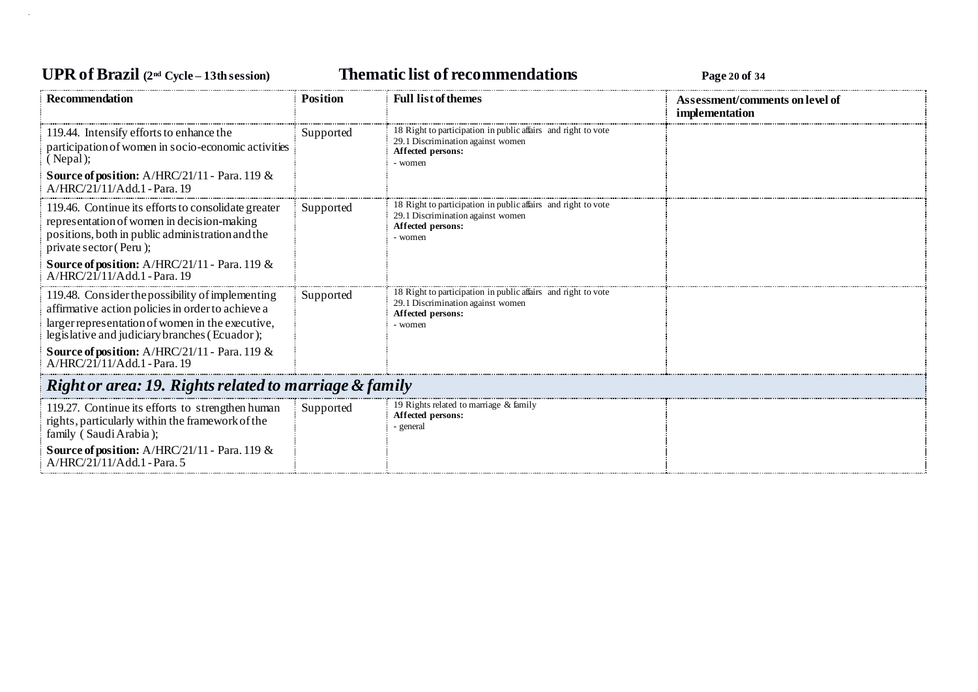### **UPR of Brazil (2nd Cycle – 13th session) Thematic list of recommendations Page <sup>20</sup> of <sup>34</sup>**

| <b>Recommendation</b>                                                                                                                                                                                      | Position  | <b>Full list of themes</b>                                                                                                         | Assessment/comments on level of<br>implementation |  |  |
|------------------------------------------------------------------------------------------------------------------------------------------------------------------------------------------------------------|-----------|------------------------------------------------------------------------------------------------------------------------------------|---------------------------------------------------|--|--|
| 119.44. Intensify efforts to enhance the<br>participation of women in socio-economic activities<br>(Nepal);<br><b>Source of position:</b> $A/HRC/21/11$ - Para. 119 &<br>A/HRC/21/11/Add.1 - Para. 19      | Supported | 18 Right to participation in public affairs and right to vote<br>29.1 Discrimination against women<br>Affected persons:<br>- women |                                                   |  |  |
| 119.46. Continue its efforts to consolidate greater<br>representation of women in decision-making<br>positions, both in public administration and the<br>private sector (Peru);                            | Supported | 18 Right to participation in public affairs and right to vote<br>29.1 Discrimination against women<br>Affected persons:<br>- women |                                                   |  |  |
| <b>Source of position:</b> $A/HRC/21/11$ - Para. 119 &<br>A/HRC/21/11/Add.1 - Para. 19                                                                                                                     |           |                                                                                                                                    |                                                   |  |  |
| 119.48. Consider the possibility of implementing<br>affirmative action policies in order to achieve a<br>larger representation of women in the executive,<br>legislative and judiciary branches (Ecuador); | Supported | 18 Right to participation in public affairs and right to vote<br>29.1 Discrimination against women<br>Affected persons:<br>- women |                                                   |  |  |
| Source of position: A/HRC/21/11 - Para. 119 &<br>A/HRC/21/11/Add.1 - Para. 19                                                                                                                              |           |                                                                                                                                    |                                                   |  |  |
| Right or area: 19. Rights related to marriage & family                                                                                                                                                     |           |                                                                                                                                    |                                                   |  |  |
| 119.27. Continue its efforts to strengthen human<br>rights, particularly within the framework of the<br>family (Saudi Arabia);<br><b>Source of position:</b> $A/HRC/21/11$ - Para. 119 &                   | Supported | 19 Rights related to marriage & family<br>Affected persons:<br>- general                                                           |                                                   |  |  |
| A/HRC/21/11/Add.1 - Para. 5                                                                                                                                                                                |           |                                                                                                                                    |                                                   |  |  |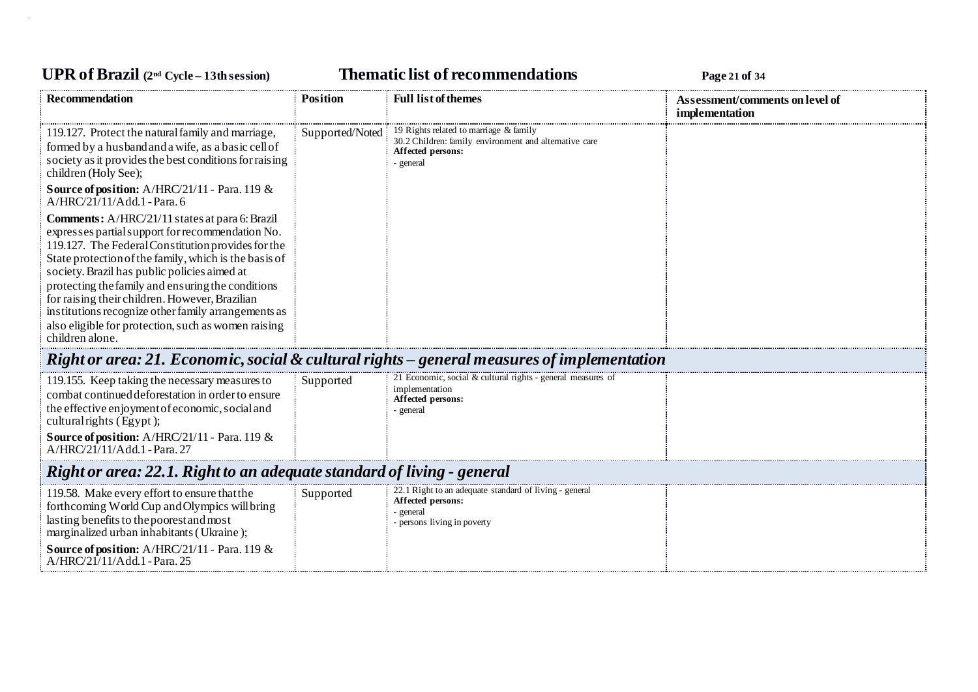## **UPR of Brazil (2nd Cycle – 13th session) Thematic list of recommendations Page <sup>21</sup> of <sup>34</sup>**

| <b>Recommendation</b>                                                                                                                                                                                                                                                                                                                                                                                                                                                                                     | <b>Position</b> | <b>Full list of themes</b>                                                                                                         | Assessment/comments on level of<br>implementation |  |  |
|-----------------------------------------------------------------------------------------------------------------------------------------------------------------------------------------------------------------------------------------------------------------------------------------------------------------------------------------------------------------------------------------------------------------------------------------------------------------------------------------------------------|-----------------|------------------------------------------------------------------------------------------------------------------------------------|---------------------------------------------------|--|--|
| 119.127. Protect the natural family and marriage,<br>formed by a husband and a wife, as a basic cell of<br>society as it provides the best conditions for raising<br>children (Holy See);                                                                                                                                                                                                                                                                                                                 | Supported/Noted | 19 Rights related to marriage & family<br>30.2 Children: family environment and alternative care<br>Affected persons:<br>- general |                                                   |  |  |
| Source of position: A/HRC/21/11 - Para. 119 &<br>A/HRC/21/11/Add.1 - Para. 6                                                                                                                                                                                                                                                                                                                                                                                                                              |                 |                                                                                                                                    |                                                   |  |  |
| Comments: A/HRC/21/11 states at para 6: Brazil<br>expresses partial support for recommendation No.<br>119.127. The Federal Constitution provides for the<br>State protection of the family, which is the basis of<br>society. Brazil has public policies aimed at<br>protecting the family and ensuring the conditions<br>for raising their children. However, Brazilian<br>institutions recognize other family arrangements as<br>also eligible for protection, such as women raising<br>children alone. |                 |                                                                                                                                    |                                                   |  |  |
| Right or area: 21. Economic, social & cultural rights – general measures of implementation                                                                                                                                                                                                                                                                                                                                                                                                                |                 |                                                                                                                                    |                                                   |  |  |
| 119.155. Keep taking the necessary measures to<br>combat continued deforestation in order to ensure<br>the effective enjoyment of economic, social and<br>cultural rights (Egypt);<br>Source of position: A/HRC/21/11 - Para. 119 &<br>A/HRC/21/11/Add.1 - Para. 27                                                                                                                                                                                                                                       | Supported       | 21 Economic, social & cultural rights - general measures of<br>implementation<br>Affected persons:<br>- general                    |                                                   |  |  |
| Right or area: 22.1. Right to an adequate standard of living - general                                                                                                                                                                                                                                                                                                                                                                                                                                    |                 |                                                                                                                                    |                                                   |  |  |
| 119.58. Make every effort to ensure that the<br>forthcoming World Cup and Olympics will bring<br>lasting benefits to the poorest and most<br>marginalized urban inhabitants (Ukraine);<br>Source of position: A/HRC/21/11 - Para. 119 &<br>A/HRC/21/11/Add.1 - Para. 25                                                                                                                                                                                                                                   | Supported       | 22.1 Right to an adequate standard of living - general<br>Affected persons:<br>general<br>persons living in poverty                |                                                   |  |  |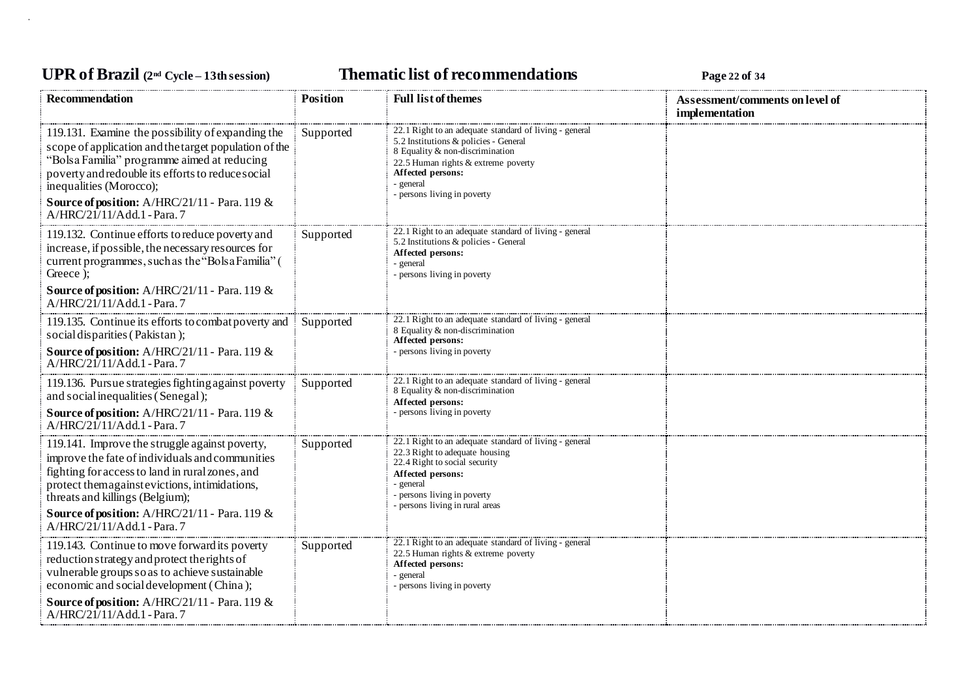## **UPR of Brazil (2nd Cycle – 13th session) Thematic list of recommendations Page <sup>22</sup> of <sup>34</sup>**

| Recommendation                                                                                                                                                                                                                                                                                                                   | <b>Position</b> | <b>Full list of themes</b>                                                                                                                                                                                                               | Assessment/comments on level of<br>implementation |
|----------------------------------------------------------------------------------------------------------------------------------------------------------------------------------------------------------------------------------------------------------------------------------------------------------------------------------|-----------------|------------------------------------------------------------------------------------------------------------------------------------------------------------------------------------------------------------------------------------------|---------------------------------------------------|
| 119.131. Examine the possibility of expanding the<br>scope of application and the target population of the<br>"Bolsa Familia" programme aimed at reducing<br>poverty and redouble its efforts to reduce social<br>inequalities (Morocco);<br>Source of position: $A/HRC/21/11$ - Para. 119 &<br>A/HRC/21/11/Add.1 - Para.7       | Supported       | 22.1 Right to an adequate standard of living - general<br>5.2 Institutions & policies - General<br>8 Equality & non-discrimination<br>22.5 Human rights & extreme poverty<br>Affected persons:<br>- general<br>persons living in poverty |                                                   |
| 119.132. Continue efforts to reduce poverty and<br>increase, if possible, the necessary resources for<br>current programmes, such as the "Bolsa Familia" (<br>Greece :<br>Source of position: A/HRC/21/11 - Para. 119 &<br>A/HRC/21/11/Add.1 - Para.7                                                                            | Supported       | 22.1 Right to an adequate standard of living - general<br>5.2 Institutions & policies - General<br>Affected persons:<br>- general<br>persons living in poverty                                                                           |                                                   |
| 119.135. Continue its efforts to combat poverty and<br>social disparities (Pakistan);<br><b>Source of position:</b> $A/HRC/21/11$ - Para. 119 &<br>$A/HRC/21/11/Add.1$ - Para. 7                                                                                                                                                 | Supported       | 22.1 Right to an adequate standard of living - general<br>8 Equality & non-discrimination<br>Affected persons:<br>- persons living in poverty                                                                                            |                                                   |
| 119.136. Pursue strategies fighting against poverty<br>and social inequalities (Senegal);<br>Source of position: A/HRC/21/11 - Para. 119 &<br>A/HRC/21/11/Add.1 - Para. 7                                                                                                                                                        | Supported       | 22.1 Right to an adequate standard of living - general<br>8 Equality & non-discrimination<br>Affected persons:<br>persons living in poverty                                                                                              |                                                   |
| 119.141. Improve the struggle against poverty,<br>improve the fate of individuals and communities<br>fighting for access to land in rural zones, and<br>protect themagainst evictions, intimidations,<br>threats and killings (Belgium);<br><b>Source of position:</b> $A/HRC/21/11$ - Para. 119 &<br>A/HRC/21/11/Add.1 - Para.7 | Supported       | 22.1 Right to an adequate standard of living - general<br>22.3 Right to adequate housing<br>22.4 Right to social security<br>Affected persons:<br>general<br>- persons living in poverty<br>- persons living in rural areas              |                                                   |
| 119.143. Continue to move forward its poverty<br>reduction strategy and protect the rights of<br>vulnerable groups so as to achieve sustainable<br>economic and social development (China);<br>Source of position: A/HRC/21/11 - Para. 119 &<br>A/HRC/21/11/Add.1 - Para.7                                                       | Supported       | 22.1 Right to an adequate standard of living - general<br>22.5 Human rights & extreme poverty<br>Affected persons:<br>- general<br>- persons living in poverty                                                                           |                                                   |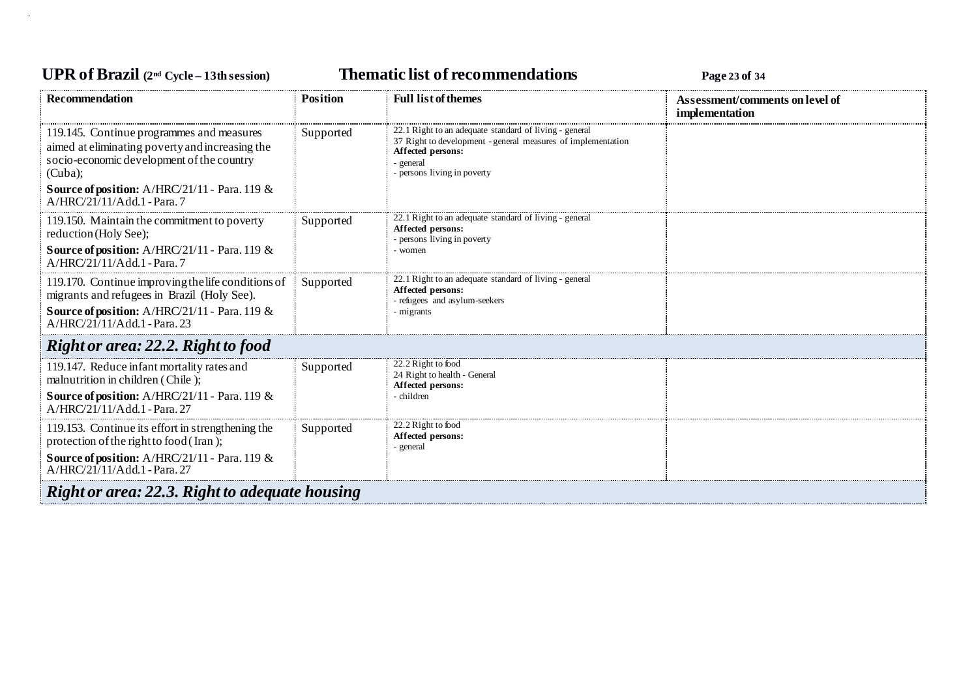## **UPR of Brazil (2nd Cycle – 13th session) Thematic list of recommendations Page <sup>23</sup> of <sup>34</sup>**

| <b>Recommendation</b>                                                                                                                                | <b>Position</b> | <b>Full list of themes</b>                                                                                                                                                              | Assessment/comments on level of<br>implementation |
|------------------------------------------------------------------------------------------------------------------------------------------------------|-----------------|-----------------------------------------------------------------------------------------------------------------------------------------------------------------------------------------|---------------------------------------------------|
| 119.145. Continue programmes and measures<br>aimed at eliminating poverty and increasing the<br>socio-economic development of the country<br>(Cuba); | Supported       | 22.1 Right to an adequate standard of living - general<br>37 Right to development - general measures of implementation<br>Affected persons:<br>- general<br>- persons living in poverty |                                                   |
| <b>Source of position:</b> A/HRC/21/11 - Para. 119 $\&$<br>A/HRC/21/11/Add.1 - Para. 7                                                               |                 |                                                                                                                                                                                         |                                                   |
| 119.150. Maintain the commitment to poverty<br>reduction (Holy See);                                                                                 | Supported       | 22.1 Right to an adequate standard of living - general<br>Affected persons:<br>- persons living in poverty                                                                              |                                                   |
| Source of position: A/HRC/21/11 - Para. 119 &<br>A/HRC/21/11/Add.1 - Para.7                                                                          |                 | - women                                                                                                                                                                                 |                                                   |
| 119.170. Continue improving the life conditions of<br>migrants and refugees in Brazil (Holy See).                                                    | Supported       | 22.1 Right to an adequate standard of living - general<br>Affected persons:<br>- refugees and asylum-seekers                                                                            |                                                   |
| Source of position: A/HRC/21/11 - Para. 119 &<br>A/HRC/21/11/Add.1 - Para. 23                                                                        |                 | - migrants                                                                                                                                                                              |                                                   |
| Right or area: 22.2. Right to food                                                                                                                   |                 |                                                                                                                                                                                         |                                                   |
| 119.147. Reduce infant mortality rates and<br>malnutrition in children (Chile);                                                                      | Supported       | 22.2 Right to food<br>24 Right to health - General<br>Affected persons:                                                                                                                 |                                                   |
| <b>Source of position:</b> A/HRC/21/11 - Para. 119 &<br>A/HRC/21/11/Add.1 - Para. 27                                                                 |                 | - children                                                                                                                                                                              |                                                   |
| 119.153. Continue its effort in strengthening the<br>protection of the right to food (Iran);                                                         | Supported       | 22.2 Right to food<br>Affected persons:<br>- general                                                                                                                                    |                                                   |
| Source of position: A/HRC/21/11 - Para. 119 &<br>A/HRC/21/11/Add.1 - Para. 27                                                                        |                 |                                                                                                                                                                                         |                                                   |
| Right or area: 22.3. Right to adequate housing                                                                                                       |                 |                                                                                                                                                                                         |                                                   |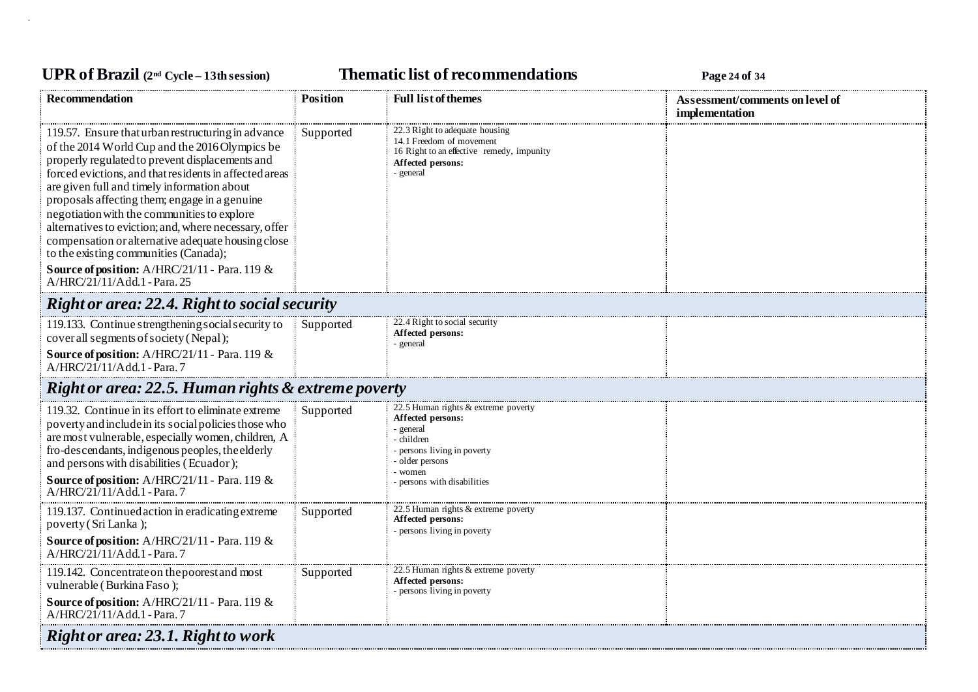# **UPR of Brazil (2nd Cycle – 13th session) Thematic list of recommendations Page <sup>24</sup> of <sup>34</sup>**

| <b>Recommendation</b>                                                                                                                                                                                                                                                                                                                                                                                                                                                                                                                                                                                     | <b>Position</b> | <b>Full list of themes</b>                                                                                                                                                    | Assessment/comments on level of<br>implementation |  |
|-----------------------------------------------------------------------------------------------------------------------------------------------------------------------------------------------------------------------------------------------------------------------------------------------------------------------------------------------------------------------------------------------------------------------------------------------------------------------------------------------------------------------------------------------------------------------------------------------------------|-----------------|-------------------------------------------------------------------------------------------------------------------------------------------------------------------------------|---------------------------------------------------|--|
| 119.57. Ensure that urban restructuring in advance<br>of the 2014 World Cup and the 2016 Olympics be<br>properly regulated to prevent displacements and<br>forced evictions, and that residents in affected areas<br>are given full and timely information about<br>proposals affecting them; engage in a genuine<br>negotiation with the communities to explore<br>alternatives to eviction; and, where necessary, offer<br>compensation or alternative adequate housing close<br>to the existing communities (Canada);<br>Source of position: A/HRC/21/11 - Para. 119 &<br>A/HRC/21/11/Add.1 - Para. 25 | Supported       | 22.3 Right to adequate housing<br>14.1 Freedom of movement<br>16 Right to an effective remedy, impunity<br>Affected persons:<br>- general                                     |                                                   |  |
| <b>Right or area: 22.4. Right to social security</b>                                                                                                                                                                                                                                                                                                                                                                                                                                                                                                                                                      |                 |                                                                                                                                                                               |                                                   |  |
| 119.133. Continue strengthening social security to<br>cover all segments of society (Nepal);<br>Source of position: A/HRC/21/11 - Para. 119 &<br>A/HRC/21/11/Add.1 - Para.7                                                                                                                                                                                                                                                                                                                                                                                                                               | Supported       | 22.4 Right to social security<br>Affected persons:<br>- general                                                                                                               |                                                   |  |
| <b>Right or area: 22.5. Human rights &amp; extreme poverty</b>                                                                                                                                                                                                                                                                                                                                                                                                                                                                                                                                            |                 |                                                                                                                                                                               |                                                   |  |
| 119.32. Continue in its effort to eliminate extreme<br>poverty and include in its social policies those who<br>are most vulnerable, especially women, children, A<br>fro-descendants, indigenous peoples, the elderly<br>and persons with disabilities (Ecuador);<br>Source of position: A/HRC/21/11 - Para. 119 &<br>A/HRC/21/11/Add.1 - Para.7                                                                                                                                                                                                                                                          | Supported       | 22.5 Human rights & extreme poverty<br>Affected persons:<br>- general<br>- children<br>persons living in poverty<br>- older persons<br>- women<br>- persons with disabilities |                                                   |  |
| 119.137. Continued action in eradicating extreme<br>poverty (Sri Lanka);<br>Source of position: A/HRC/21/11 - Para. 119 &<br>A/HRC/21/11/Add.1 - Para.7                                                                                                                                                                                                                                                                                                                                                                                                                                                   | Supported       | 22.5 Human rights & extreme poverty<br>Affected persons:<br>- persons living in poverty                                                                                       |                                                   |  |
| 119.142. Concentrate on the poorest and most<br>vulnerable (Burkina Faso);<br>Source of position: A/HRC/21/11 - Para. 119 &<br>A/HRC/21/11/Add.1 - Para.7                                                                                                                                                                                                                                                                                                                                                                                                                                                 | Supported       | 22.5 Human rights & extreme poverty<br>Affected persons:<br>- persons living in poverty                                                                                       |                                                   |  |
| Right or area: 23.1. Right to work                                                                                                                                                                                                                                                                                                                                                                                                                                                                                                                                                                        |                 |                                                                                                                                                                               |                                                   |  |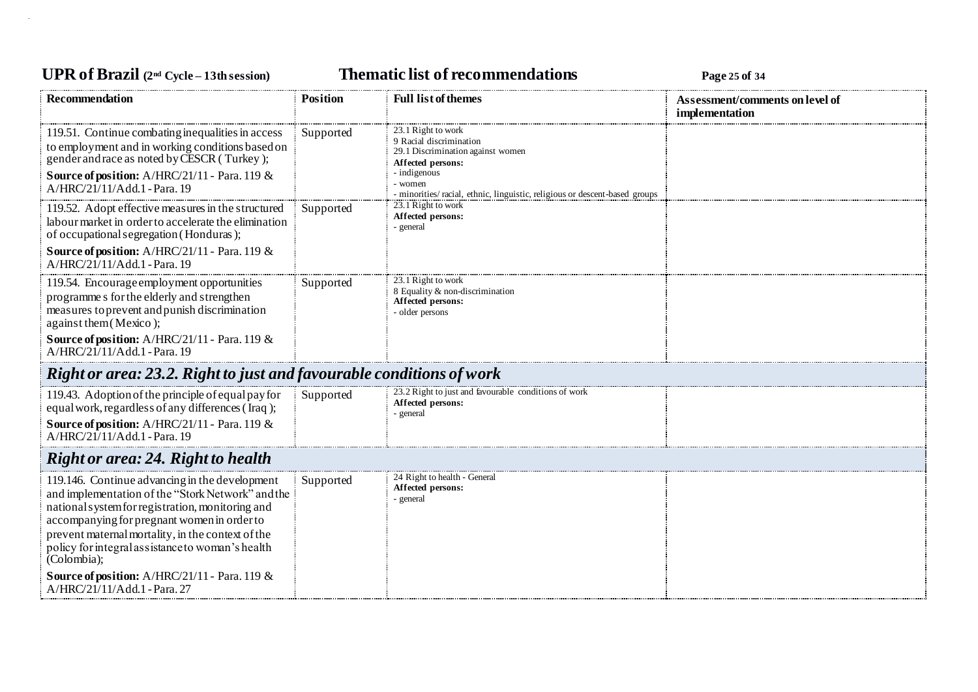## **UPR of Brazil (2nd Cycle – 13th session) Thematic list of recommendations Page <sup>25</sup> of <sup>34</sup>**

| <b>Recommendation</b>                                                                                                                                                                                                                                                                                                                                                                                           | <b>Position</b> | <b>Full list of themes</b>                                                                                                                                                                                        | Assessment/comments on level of<br>implementation |
|-----------------------------------------------------------------------------------------------------------------------------------------------------------------------------------------------------------------------------------------------------------------------------------------------------------------------------------------------------------------------------------------------------------------|-----------------|-------------------------------------------------------------------------------------------------------------------------------------------------------------------------------------------------------------------|---------------------------------------------------|
| 119.51. Continue combating inequalities in access<br>to employment and in working conditions based on<br>gender and race as noted by CESCR (Turkey);<br>Source of position: A/HRC/21/11 - Para. 119 &<br>A/HRC/21/11/Add.1 - Para. 19                                                                                                                                                                           | Supported       | 23.1 Right to work<br>9 Racial discrimination<br>29.1 Discrimination against women<br>Affected persons:<br>- indigenous<br>- women<br>- minorities/ racial, ethnic, linguistic, religious or descent-based groups |                                                   |
| 119.52. Adopt effective measures in the structured<br>labour market in order to accelerate the elimination<br>of occupational segregation (Honduras);<br>Source of position: A/HRC/21/11 - Para. 119 &<br>A/HRC/21/11/Add.1 - Para. 19                                                                                                                                                                          | Supported       | 23.1 Right to work<br>Affected persons:<br>- general                                                                                                                                                              |                                                   |
| 119.54. Encourage employment opportunities<br>programme s for the elderly and strengthen<br>measures to prevent and punish discrimination<br>against them (Mexico);<br><b>Source of position:</b> A/HRC/21/11 - Para. 119 $\&$<br>A/HRC/21/11/Add.1 - Para. 19                                                                                                                                                  | Supported       | 23.1 Right to work<br>8 Equality & non-discrimination<br>Affected persons:<br>- older persons                                                                                                                     |                                                   |
| Right or area: 23.2. Right to just and favourable conditions of work                                                                                                                                                                                                                                                                                                                                            |                 |                                                                                                                                                                                                                   |                                                   |
| 119.43. Adoption of the principle of equal pay for<br>equal work, regardless of any differences (Iraq);<br>Source of position: A/HRC/21/11 - Para. 119 &<br>A/HRC/21/11/Add.1 - Para. 19                                                                                                                                                                                                                        | Supported       | 23.2 Right to just and favourable conditions of work<br>Affected persons:<br>- general                                                                                                                            |                                                   |
| <b>Right or area: 24. Right to health</b>                                                                                                                                                                                                                                                                                                                                                                       |                 |                                                                                                                                                                                                                   |                                                   |
| 119.146. Continue advancing in the development<br>and implementation of the "Stork Network" and the<br>national system for registration, monitoring and<br>accompanying for pregnant women in order to<br>prevent maternal mortality, in the context of the<br>policy for integral assistance to woman's health<br>(Colombia);<br>Source of position: A/HRC/21/11 - Para. 119 &<br>A/HRC/21/11/Add.1 - Para. 27 | Supported       | 24 Right to health - General<br>Affected persons:<br>- general                                                                                                                                                    |                                                   |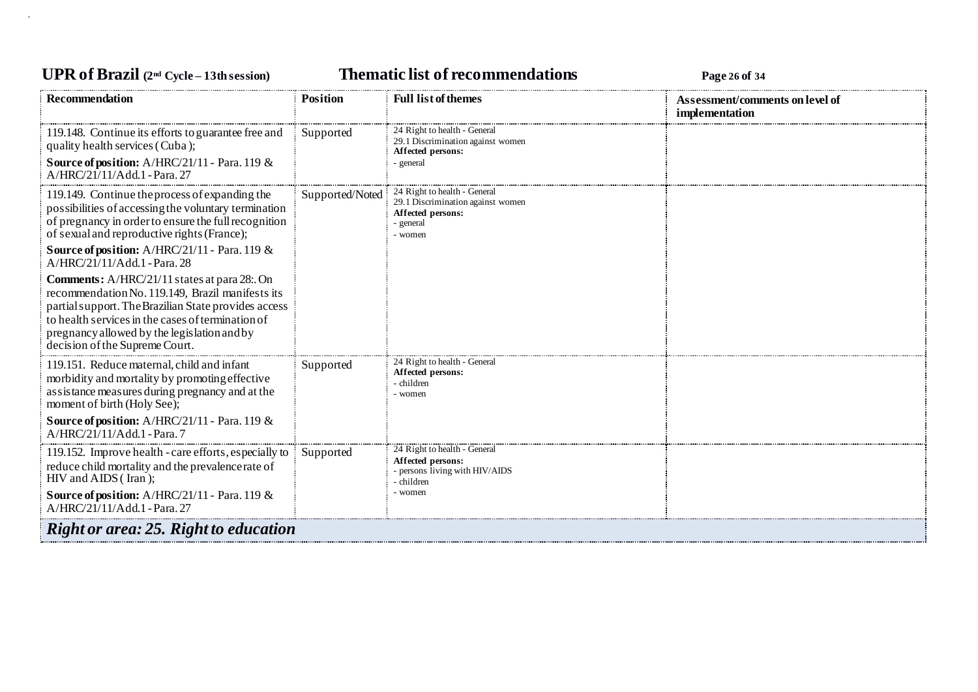## **UPR of Brazil (2nd Cycle – 13th session) Thematic list of recommendations Page <sup>26</sup> of <sup>34</sup>**

| <b>Recommendation</b>                                                                                                                                                                                                                                                                                                                                                                                                                                                                                                                                                                                         | <b>Position</b> | <b>Full list of themes</b>                                                                                     | Assessment/comments on level of<br>implementation |  |
|---------------------------------------------------------------------------------------------------------------------------------------------------------------------------------------------------------------------------------------------------------------------------------------------------------------------------------------------------------------------------------------------------------------------------------------------------------------------------------------------------------------------------------------------------------------------------------------------------------------|-----------------|----------------------------------------------------------------------------------------------------------------|---------------------------------------------------|--|
| 119.148. Continue its efforts to guarantee free and<br>quality health services (Cuba);<br>Source of position: A/HRC/21/11 - Para. 119 &<br>A/HRC/21/11/Add.1 - Para. 27                                                                                                                                                                                                                                                                                                                                                                                                                                       | Supported       | 24 Right to health - General<br>29.1 Discrimination against women<br>Affected persons:<br>- general            |                                                   |  |
| 119.149. Continue the process of expanding the<br>possibilities of accessing the voluntary termination<br>of pregnancy in order to ensure the full recognition<br>of sexual and reproductive rights (France);<br><b>Source of position:</b> A/HRC/21/11 - Para. 119 &<br>A/HRC/21/11/Add.1 - Para. 28<br><b>Comments:</b> A/HRC/21/11 states at para 28: On<br>recommendation No. 119.149, Brazil manifests its<br>partial support. The Brazilian State provides access<br>to health services in the cases of termination of<br>pregnancy allowed by the legislation and by<br>decision of the Supreme Court. | Supported/Noted | 24 Right to health - General<br>29.1 Discrimination against women<br>Affected persons:<br>- general<br>- women |                                                   |  |
| 119.151. Reduce maternal, child and infant<br>morbidity and mortality by promoting effective<br>assistance measures during pregnancy and at the<br>moment of birth (Holy See);<br><b>Source of position:</b> A/HRC/21/11 - Para. 119 &<br>A/HRC/21/11/Add.1 - Para.7                                                                                                                                                                                                                                                                                                                                          | Supported       | 24 Right to health - General<br>Affected persons:<br>- children<br>- women                                     |                                                   |  |
| 119.152. Improve health - care efforts, especially to<br>reduce child mortality and the prevalence rate of<br>HIV and AIDS (Iran);<br>Source of position: A/HRC/21/11 - Para. 119 &<br>A/HRC/21/11/Add.1 - Para. 27                                                                                                                                                                                                                                                                                                                                                                                           | Supported       | 24 Right to health - General<br>Affected persons:<br>- persons living with HIV/AIDS<br>- children<br>- women   |                                                   |  |
| <b>Right or area: 25. Right to education</b>                                                                                                                                                                                                                                                                                                                                                                                                                                                                                                                                                                  |                 |                                                                                                                |                                                   |  |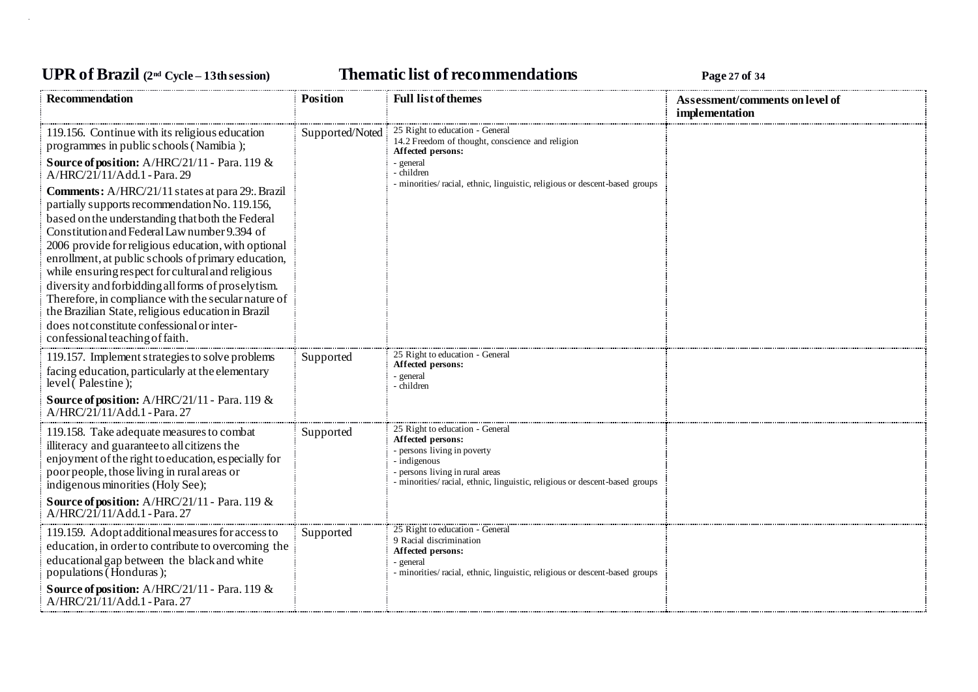## **UPR of Brazil (2nd Cycle – 13th session) Thematic list of recommendations Page <sup>27</sup> of <sup>34</sup>**

| <b>Recommendation</b>                                                                                                                                                                                                                                                                                                                                                                                                                                                                                                                                                                                                                                                                                                                                                                                       | <b>Position</b> | <b>Full list of themes</b>                                                                                                                                                                                           | Assessment/comments on level of<br>implementation |
|-------------------------------------------------------------------------------------------------------------------------------------------------------------------------------------------------------------------------------------------------------------------------------------------------------------------------------------------------------------------------------------------------------------------------------------------------------------------------------------------------------------------------------------------------------------------------------------------------------------------------------------------------------------------------------------------------------------------------------------------------------------------------------------------------------------|-----------------|----------------------------------------------------------------------------------------------------------------------------------------------------------------------------------------------------------------------|---------------------------------------------------|
| 119.156. Continue with its religious education<br>programmes in public schools (Namibia);<br>Source of position: A/HRC/21/11 - Para. 119 &<br>A/HRC/21/11/Add.1 - Para. 29<br>Comments: A/HRC/21/11 states at para 29:. Brazil<br>partially supports recommendation No. 119.156,<br>based on the understanding that both the Federal<br>Constitution and Federal Law number 9.394 of<br>2006 provide for religious education, with optional<br>enrollment, at public schools of primary education,<br>while ensuring respect for cultural and religious<br>diversity and forbidding all forms of proselytism.<br>Therefore, in compliance with the secular nature of<br>the Brazilian State, religious education in Brazil<br>does not constitute confessional or inter-<br>confessional teaching of faith. | Supported/Noted | 25 Right to education - General<br>14.2 Freedom of thought, conscience and religion<br>Affected persons:<br>- general<br>- children<br>- minorities/racial, ethnic, linguistic, religious or descent-based groups    |                                                   |
| 119.157. Implement strategies to solve problems<br>facing education, particularly at the elementary<br>level $($ Palestine $);$<br><b>Source of position:</b> A/HRC/21/11 - Para. 119 &<br>$A/HRC/21/11/Add.1$ - Para, 27                                                                                                                                                                                                                                                                                                                                                                                                                                                                                                                                                                                   | Supported       | 25 Right to education - General<br>Affected persons:<br>- general<br>- children                                                                                                                                      |                                                   |
| 119.158. Take adequate measures to combat<br>illiteracy and guarantee to all citizens the<br>enjoyment of the right to education, especially for<br>poor people, those living in rural areas or<br>indigenous minorities (Holy See);<br>Source of position: A/HRC/21/11 - Para. 119 &<br>A/HRC/21/11/Add.1 - Para. 27                                                                                                                                                                                                                                                                                                                                                                                                                                                                                       | Supported       | 25 Right to education - General<br>Affected persons:<br>- persons living in poverty<br>- indigenous<br>- persons living in rural areas<br>- minorities/racial, ethnic, linguistic, religious or descent-based groups |                                                   |
| 119.159. Adopt additional measures for access to<br>education, in order to contribute to overcoming the<br>educational gap between the black and white<br>populations (Honduras);<br><b>Source of position:</b> A/HRC/21/11 - Para. 119 &<br>A/HRC/21/11/Add.1 - Para. 27                                                                                                                                                                                                                                                                                                                                                                                                                                                                                                                                   | Supported       | 25 Right to education - General<br>9 Racial discrimination<br>Affected persons:<br>- general<br>- minorities/racial, ethnic, linguistic, religious or descent-based groups                                           |                                                   |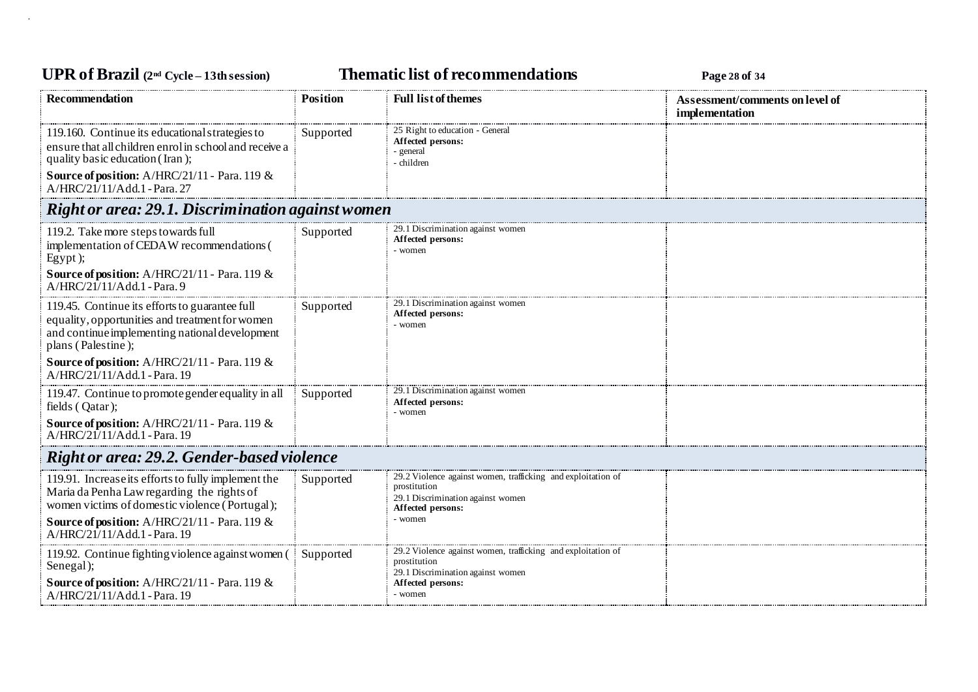## **UPR of Brazil (2nd Cycle – 13th session) Thematic list of recommendations Page <sup>28</sup> of <sup>34</sup>**

| Recommendation                                                                                                                                                                                                                       | Position  | <b>Full list of themes</b>                                                                                                             | Assessment/comments on level of<br>implementation |  |
|--------------------------------------------------------------------------------------------------------------------------------------------------------------------------------------------------------------------------------------|-----------|----------------------------------------------------------------------------------------------------------------------------------------|---------------------------------------------------|--|
| 119.160. Continue its educational strategies to<br>ensure that all children enrol in school and receive a<br>quality basic education (Iran);<br><b>Source of position:</b> A/HRC/21/11 - Para. 119 &<br>A/HRC/21/11/Add.1 - Para. 27 | Supported | 25 Right to education - General<br>Affected persons:<br>general<br>- children                                                          |                                                   |  |
| Right or area: 29.1. Discrimination against women                                                                                                                                                                                    |           |                                                                                                                                        |                                                   |  |
| 119.2. Take more steps towards full<br>implementation of CEDAW recommendations (<br>Egypt);<br>Source of position: A/HRC/21/11 - Para. 119 &<br>A/HRC/21/11/Add.1 - Para.9                                                           | Supported | 29.1 Discrimination against women<br>Affected persons:<br>- women                                                                      |                                                   |  |
| 119.45. Continue its efforts to guarantee full<br>equality, opportunities and treatment for women<br>and continue implementing national development<br>plans (Palestine);                                                            | Supported | 29.1 Discrimination against women<br>Affected persons:<br>- women                                                                      |                                                   |  |
| Source of position: A/HRC/21/11 - Para. 119 &<br>A/HRC/21/11/Add.1 - Para. 19                                                                                                                                                        |           |                                                                                                                                        |                                                   |  |
| 119.47. Continue to promote gender equality in all<br>fields (Qatar);                                                                                                                                                                | Supported | 29.1 Discrimination against women<br>Affected persons:<br>- women                                                                      |                                                   |  |
| Source of position: A/HRC/21/11 - Para. 119 &<br>A/HRC/21/11/Add.1 - Para. 19                                                                                                                                                        |           |                                                                                                                                        |                                                   |  |
| <b>Right or area: 29.2. Gender-based violence</b>                                                                                                                                                                                    |           |                                                                                                                                        |                                                   |  |
| 119.91. Increase its efforts to fully implement the<br>Maria da Penha Law regarding the rights of<br>women victims of domestic violence (Portugal);                                                                                  | Supported | 29.2 Violence against women, trafficking and exploitation of<br>prostitution<br>29.1 Discrimination against women<br>Affected persons: |                                                   |  |
| <b>Source of position:</b> A/HRC/21/11 - Para. 119 $\&$<br>A/HRC/21/11/Add.1 - Para. 19                                                                                                                                              |           | - women                                                                                                                                |                                                   |  |
| 119.92. Continue fighting violence against women (<br>Senegal);                                                                                                                                                                      | Supported | 29.2 Violence against women, trafficking and exploitation of<br>prostitution<br>29.1 Discrimination against women                      |                                                   |  |
| Source of position: A/HRC/21/11 - Para. 119 &<br>A/HRC/21/11/Add.1 - Para. 19                                                                                                                                                        |           | Affected persons:<br>- women                                                                                                           |                                                   |  |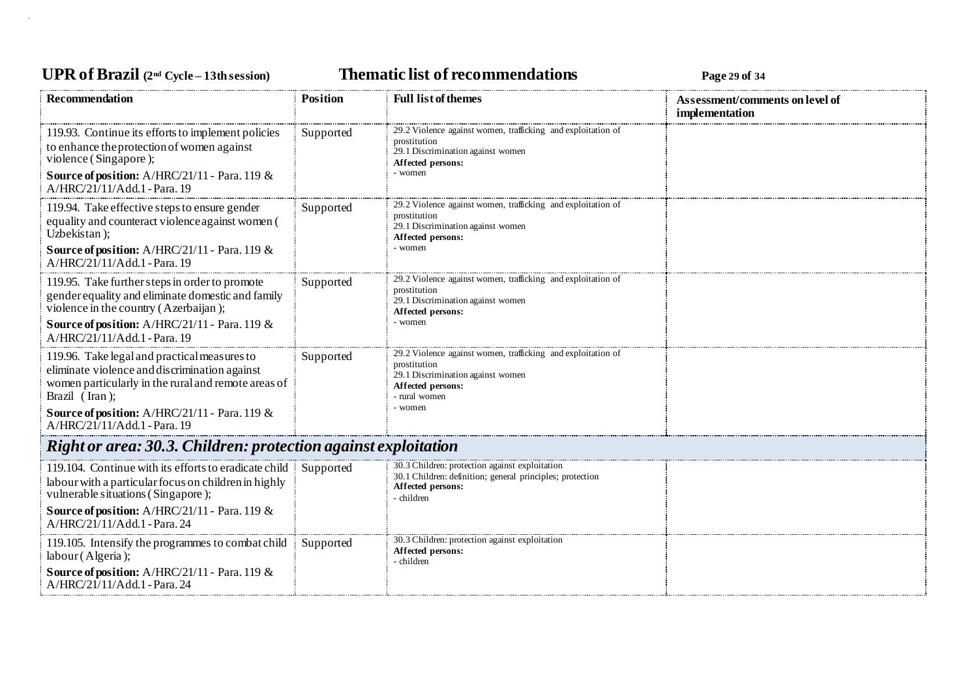## **UPR of Brazil (2nd Cycle – 13th session) Thematic list of recommendations Page <sup>29</sup> of <sup>34</sup>**

| <b>Recommendation</b>                                                                                                                                                                                                                                   | <b>Position</b> | <b>Full list of themes</b>                                                                                                                                         | Assessment/comments on level of<br>implementation |  |
|---------------------------------------------------------------------------------------------------------------------------------------------------------------------------------------------------------------------------------------------------------|-----------------|--------------------------------------------------------------------------------------------------------------------------------------------------------------------|---------------------------------------------------|--|
| 119.93. Continue its efforts to implement policies<br>to enhance the protection of women against<br>violence (Singapore);<br><b>Source of position:</b> A/HRC/21/11 - Para. 119 &<br>A/HRC/21/11/Add.1 - Para. 19                                       | Supported       | 29.2 Violence against women, trafficking and exploitation of<br>prostitution<br>29.1 Discrimination against women<br>Affected persons:<br>- women                  |                                                   |  |
| 119.94. Take effective steps to ensure gender<br>equality and counteract violence against women (<br>Uzbekistan);<br><b>Source of position:</b> A/HRC/21/11 - Para. 119 $\&$<br>A/HRC/21/11/Add.1 - Para. 19                                            | Supported       | 29.2 Violence against women, trafficking and exploitation of<br>prostitution<br>29.1 Discrimination against women<br>Affected persons:<br>- women                  |                                                   |  |
| 119.95. Take further steps in order to promote<br>gender equality and eliminate domestic and family<br>violence in the country (Azerbaijan);<br><b>Source of position:</b> A/HRC/21/11 - Para. 119 &<br>A/HRC/21/11/Add.1 - Para. 19                    | Supported       | 29.2 Violence against women, trafficking and exploitation of<br>prostitution<br>29.1 Discrimination against women<br>Affected persons:<br>- women                  |                                                   |  |
| 119.96. Take legal and practical measures to<br>eliminate violence and discrimination against<br>women particularly in the rural and remote areas of<br>Brazil (Iran);<br>Source of position: A/HRC/21/11 - Para. 119 &<br>A/HRC/21/11/Add.1 - Para. 19 | Supported       | 29.2 Violence against women, trafficking and exploitation of<br>prostitution<br>29.1 Discrimination against women<br>Affected persons:<br>- rural women<br>- women |                                                   |  |
| Right or area: 30.3. Children: protection against exploitation                                                                                                                                                                                          |                 |                                                                                                                                                                    |                                                   |  |
| 119.104. Continue with its efforts to eradicate child<br>labour with a particular focus on children in highly<br>vulnerable situations (Singapore);<br><b>Source of position:</b> A/HRC/21/11 - Para. 119 &<br>A/HRC/21/11/Add.1 - Para. 24             | Supported       | 30.3 Children: protection against exploitation<br>30.1 Children: definition; general principles; protection<br>Affected persons:<br>- children                     |                                                   |  |
| 119.105. Intensify the programmes to combat child<br>labour (Algeria);<br>Source of position: A/HRC/21/11 - Para. 119 &<br>A/HRC/21/11/Add.1 - Para. 24                                                                                                 | Supported       | 30.3 Children: protection against exploitation<br>Affected persons:<br>- children                                                                                  |                                                   |  |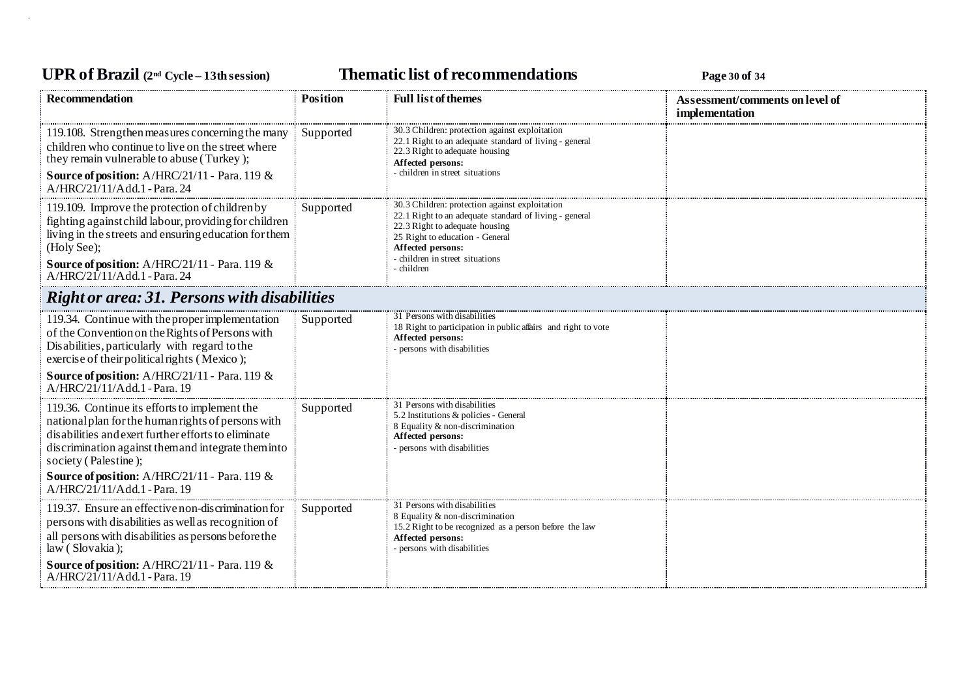## **UPR of Brazil (2nd Cycle – 13th session) Thematic list of recommendations Page <sup>30</sup> of <sup>34</sup>**

| <b>Recommendation</b>                                                                                                                                                                                                                                                                                                                                      | <b>Position</b> | <b>Full list of themes</b>                                                                                                                                                                                                                          | Assessment/comments on level of<br>implementation |
|------------------------------------------------------------------------------------------------------------------------------------------------------------------------------------------------------------------------------------------------------------------------------------------------------------------------------------------------------------|-----------------|-----------------------------------------------------------------------------------------------------------------------------------------------------------------------------------------------------------------------------------------------------|---------------------------------------------------|
| 119.108. Strengthen measures concerning the many<br>children who continue to live on the street where<br>they remain vulnerable to abuse (Turkey);<br>Source of position: A/HRC/21/11 - Para. 119 &<br>A/HRC/21/11/Add.1 - Para. 24                                                                                                                        | Supported       | 30.3 Children: protection against exploitation<br>22.1 Right to an adequate standard of living - general<br>22.3 Right to adequate housing<br>Affected persons:<br>- children in street situations                                                  |                                                   |
| 119.109. Improve the protection of children by<br>fighting against child labour, providing for children<br>living in the streets and ensuring education for them<br>(Holy See);<br><b>Source of position:</b> $A/HRC/21/11$ - Para. 119 &<br>A/HRC/21/11/Add.1 - Para. 24                                                                                  | Supported       | 30.3 Children: protection against exploitation<br>22.1 Right to an adequate standard of living - general<br>22.3 Right to adequate housing<br>25 Right to education - General<br>Affected persons:<br>- children in street situations<br>- children |                                                   |
| <b>Right or area: 31. Persons with disabilities</b>                                                                                                                                                                                                                                                                                                        |                 |                                                                                                                                                                                                                                                     |                                                   |
| 119.34. Continue with the proper implementation<br>of the Convention on the Rights of Persons with<br>Disabilities, particularly with regard to the<br>exercise of their political rights (Mexico);<br>Source of position: A/HRC/21/11 - Para. 119 &                                                                                                       | Supported       | 31 Persons with disabilities<br>18 Right to participation in public affairs and right to vote<br>Affected persons:<br>- persons with disabilities                                                                                                   |                                                   |
| A/HRC/21/11/Add.1 - Para. 19<br>119.36. Continue its efforts to implement the<br>national plan for the human rights of persons with<br>disabilities and exert further efforts to eliminate<br>discrimination against them and integrate them into<br>society (Palestine);<br>Source of position: A/HRC/21/11 - Para. 119 &<br>A/HRC/21/11/Add.1 - Para. 19 | Supported       | 31 Persons with disabilities<br>5.2 Institutions & policies - General<br>8 Equality & non-discrimination<br>Affected persons:<br>- persons with disabilities                                                                                        |                                                   |
| 119.37. Ensure an effective non-discrimination for<br>persons with disabilities as well as recognition of<br>all persons with disabilities as persons before the<br>law (Slovakia);<br>Source of position: A/HRC/21/11 - Para. 119 &                                                                                                                       | Supported       | 31 Persons with disabilities<br>8 Equality & non-discrimination<br>15.2 Right to be recognized as a person before the law<br>Affected persons:<br>- persons with disabilities                                                                       |                                                   |
| A/HRC/21/11/Add.1 - Para. 19                                                                                                                                                                                                                                                                                                                               |                 |                                                                                                                                                                                                                                                     |                                                   |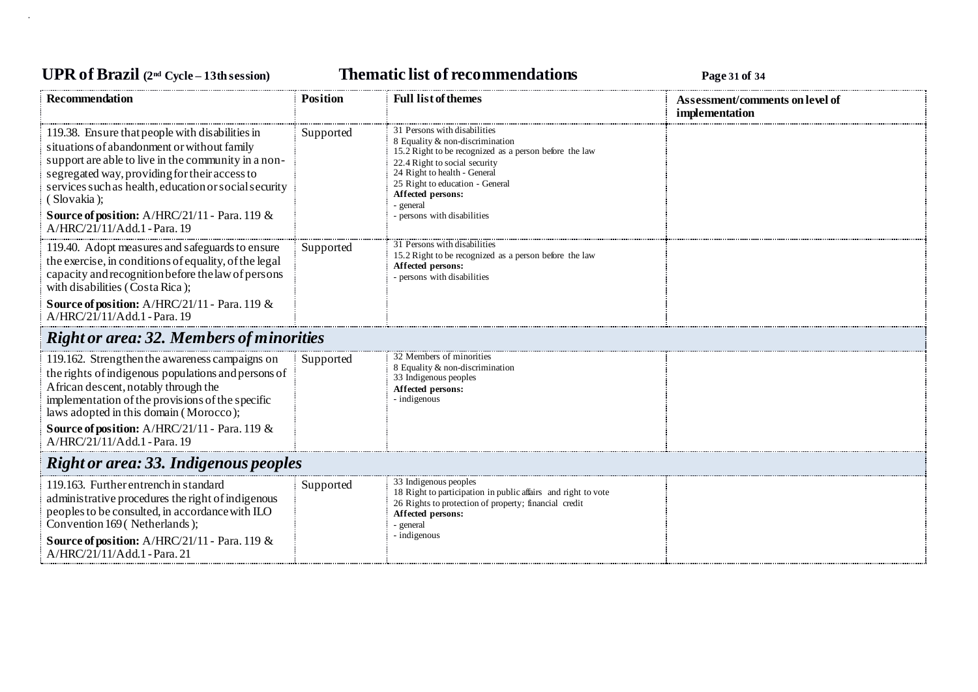# **UPR of Brazil (2nd Cycle – 13th session) Thematic list of recommendations Page <sup>31</sup> of <sup>34</sup>**

| <b>Recommendation</b>                                                                                                                                                                                                                                                                                                                                           | <b>Position</b> | <b>Full list of themes</b>                                                                                                                                                                                                                                                                     | Assessment/comments on level of<br>implementation |  |
|-----------------------------------------------------------------------------------------------------------------------------------------------------------------------------------------------------------------------------------------------------------------------------------------------------------------------------------------------------------------|-----------------|------------------------------------------------------------------------------------------------------------------------------------------------------------------------------------------------------------------------------------------------------------------------------------------------|---------------------------------------------------|--|
| 119.38. Ensure that people with disabilities in<br>situations of abandonment or without family<br>support are able to live in the community in a non-<br>segregated way, providing for their access to<br>services such as health, education or social security<br>(Slovakia);<br>Source of position: A/HRC/21/11 - Para. 119 &<br>A/HRC/21/11/Add.1 - Para. 19 | Supported       | 31 Persons with disabilities<br>8 Equality & non-discrimination<br>15.2 Right to be recognized as a person before the law<br>22.4 Right to social security<br>24 Right to health - General<br>25 Right to education - General<br>Affected persons:<br>- general<br>- persons with disabilities |                                                   |  |
| 119.40. Adopt measures and safeguards to ensure<br>the exercise, in conditions of equality, of the legal<br>capacity and recognition before the law of persons<br>with disabilities (Costa Rica);                                                                                                                                                               | Supported       | 31 Persons with disabilities<br>15.2 Right to be recognized as a person before the law<br>Affected persons:<br>- persons with disabilities                                                                                                                                                     |                                                   |  |
| Source of position: A/HRC/21/11 - Para. 119 &<br>A/HRC/21/11/Add.1 - Para. 19                                                                                                                                                                                                                                                                                   |                 |                                                                                                                                                                                                                                                                                                |                                                   |  |
| <b>Right or area: 32. Members of minorities</b>                                                                                                                                                                                                                                                                                                                 |                 |                                                                                                                                                                                                                                                                                                |                                                   |  |
| 119.162. Strengthen the awareness campaigns on<br>the rights of indigenous populations and persons of<br>African descent, notably through the<br>implementation of the provisions of the specific<br>laws adopted in this domain (Morocco);<br>Source of position: A/HRC/21/11 - Para. 119 &                                                                    | Supported       | 32 Members of minorities<br>8 Equality & non-discrimination<br>33 Indigenous peoples<br>Affected persons:<br>- indigenous                                                                                                                                                                      |                                                   |  |
| A/HRC/21/11/Add.1 - Para. 19                                                                                                                                                                                                                                                                                                                                    |                 |                                                                                                                                                                                                                                                                                                |                                                   |  |
| <b>Right or area: 33. Indigenous peoples</b>                                                                                                                                                                                                                                                                                                                    |                 |                                                                                                                                                                                                                                                                                                |                                                   |  |
| 119.163. Further entrench in standard<br>administrative procedures the right of indigenous<br>peoples to be consulted, in accordance with ILO<br>Convention 169 (Netherlands);<br>Source of position: A/HRC/21/11 - Para. 119 &<br>A/HRC/21/11/Add.1 - Para. 21                                                                                                 | Supported       | 33 Indigenous peoples<br>18 Right to participation in public affairs and right to vote<br>26 Rights to protection of property; financial credit<br>Affected persons:<br>- general<br>- indigenous                                                                                              |                                                   |  |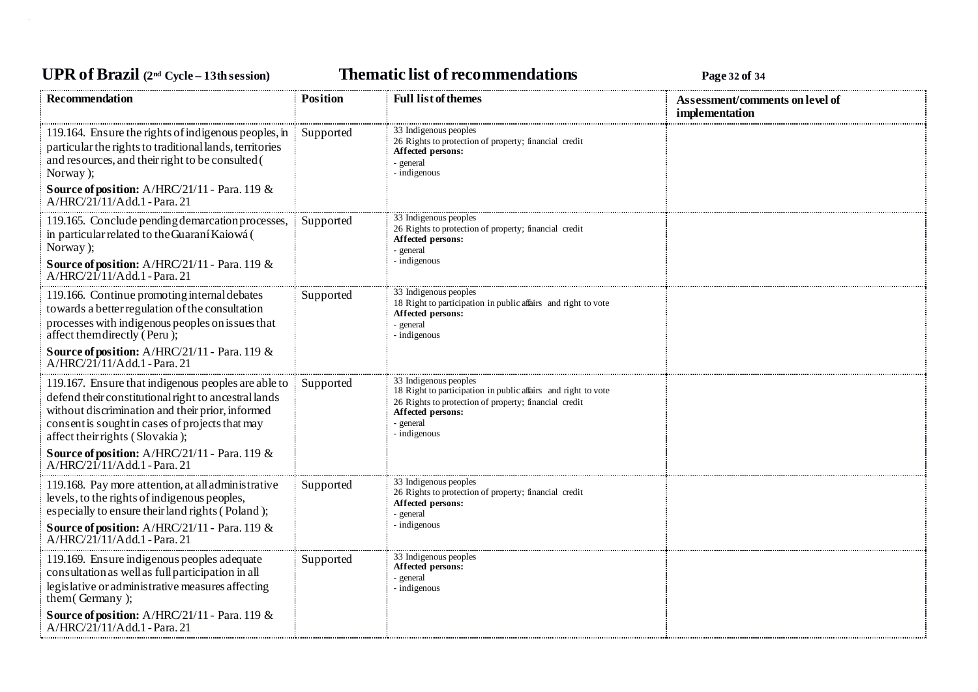## **UPR of Brazil (2nd Cycle – 13th session) Thematic list of recommendations Page <sup>32</sup> of <sup>34</sup>**

| <b>Recommendation</b>                                                                                                                                                                                                                                                                                                                                                  | <b>Position</b> | <b>Full list of themes</b>                                                                                                                                                                        | Assessment/comments on level of<br>implementation |
|------------------------------------------------------------------------------------------------------------------------------------------------------------------------------------------------------------------------------------------------------------------------------------------------------------------------------------------------------------------------|-----------------|---------------------------------------------------------------------------------------------------------------------------------------------------------------------------------------------------|---------------------------------------------------|
| 119.164. Ensure the rights of indigenous peoples, in<br>particular the rights to traditional lands, territories<br>and resources, and their right to be consulted (<br>Norway);<br>Source of position: A/HRC/21/11 - Para. 119 &<br>$A/HRC/21/11/Add.1$ - Para. 21                                                                                                     | Supported       | 33 Indigenous peoples<br>26 Rights to protection of property; financial credit<br>Affected persons:<br>- general<br>- indigenous                                                                  |                                                   |
| 119.165. Conclude pending demarcation processes,<br>in particular related to the Guaraní Kaiowá (<br>Norway);<br><b>Source of position:</b> A/HRC/21/11 - Para. 119 &<br>$A/HRC/21/11/Add.1$ - Para. 21                                                                                                                                                                | Supported       | 33 Indigenous peoples<br>26 Rights to protection of property; financial credit<br>Affected persons:<br>- general<br>- indigenous                                                                  |                                                   |
| 119.166. Continue promoting internal debates<br>towards a better regulation of the consultation<br>processes with indigenous peoples on issues that<br>affect themdirectly (Peru);<br>Source of position: A/HRC/21/11 - Para. 119 &                                                                                                                                    | Supported       | 33 Indigenous peoples<br>18 Right to participation in public affairs and right to vote<br>Affected persons:<br>- general<br>- indigenous                                                          |                                                   |
| A/HRC/21/11/Add.1 - Para. 21<br>119.167. Ensure that indigenous peoples are able to<br>defend their constitutional right to ancestral lands<br>without discrimination and their prior, informed<br>consent is sought in cases of projects that may<br>affect their rights (Slovakia);<br>Source of position: A/HRC/21/11 - Para. 119 &<br>A/HRC/21/11/Add.1 - Para. 21 | Supported       | 33 Indigenous peoples<br>18 Right to participation in public affairs and right to vote<br>26 Rights to protection of property; financial credit<br>Affected persons:<br>- general<br>- indigenous |                                                   |
| 119.168. Pay more attention, at all administrative<br>levels, to the rights of indigenous peoples,<br>especially to ensure their land rights (Poland);<br><b>Source of position:</b> A/HRC/21/11 - Para. 119 &<br>A/HRC/21/11/Add.1 - Para. 21                                                                                                                         | Supported       | 33 Indigenous peoples<br>26 Rights to protection of property; financial credit<br>Affected persons:<br>- general<br>indigenous                                                                    |                                                   |
| 119.169. Ensure indigenous peoples adequate<br>consultation as well as full participation in all<br>legislative or administrative measures affecting<br>them(Germany);<br>Source of position: A/HRC/21/11 - Para. 119 &<br>A/HRC/21/11/Add.1 - Para. 21                                                                                                                | Supported       | 33 Indigenous peoples<br>Affected persons:<br>- general<br>- indigenous                                                                                                                           |                                                   |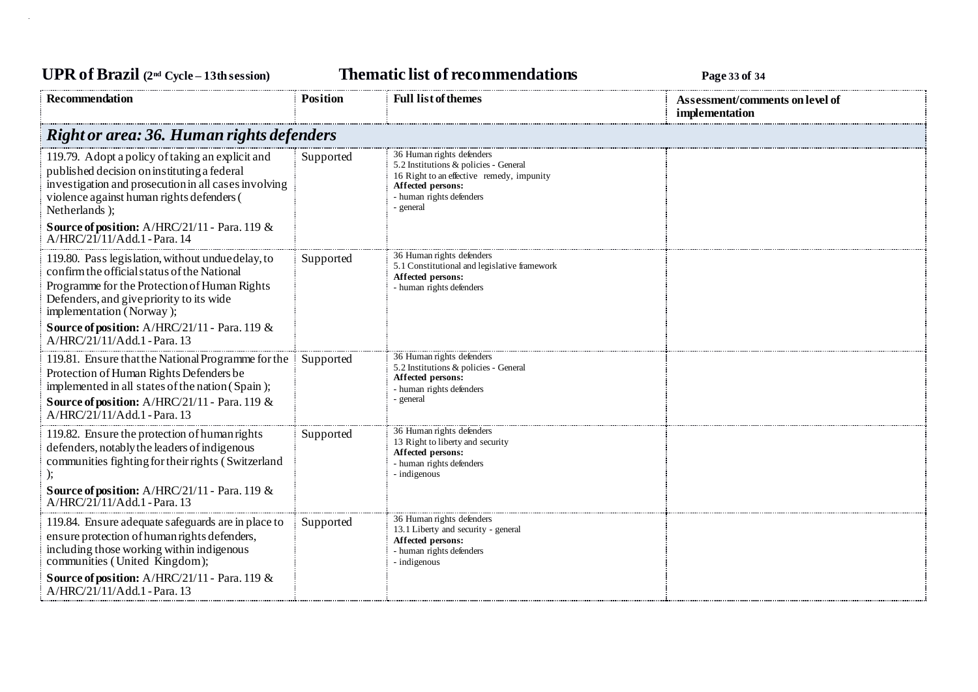**UPR of Brazil (2nd Cycle – 13th session) Thematic list of recommendations Page <sup>33</sup> of <sup>34</sup> Recommendation Position Position Full list of themes Assessment/comments on level of implementation** *Right or area: 36. Human rights defenders* 119.79. Adopt a policy of taking an explicit and published decision on instituting a federal investigation and prosecution in all cases involving violence against human rights defenders ( Netherlands ); **Source of position:** A/HRC/21/11 - Para. 119 & A/HRC/21/11/Add.1 -Para. 14 Supported 36 Human rights defenders 5.2 Institutions & policies - General 16 Right to an effective remedy, impunity **Affected persons:** - human rights defenders - general 119.80. Pass legislation, without undue delay, to confirm the official status of the National Programme for the Protection of Human Rights Defenders, and give priority to its wide implementation ( Norway ); **Source of position:** A/HRC/21/11 - Para. 119 & A/HRC/21/11/Add.1 -Para. 13 Supported 36 Human rights defenders 5.1 Constitutional and legislative framework **Affected persons:** - human rights defenders 119.81. Ensure that the National Programme for the Protection of Human Rights Defenders be implemented in all states of the nation ( Spain ); **Source of position:** A/HRC/21/11 - Para. 119 & A/HRC/21/11/Add.1 -Para. 13 Supported 36 Human rights defenders 5.2 Institutions & policies - General **Affected persons:** - human rights defenders - general 119.82. Ensure the protection of human rights defenders, notably the leaders of indigenous communities fighting for their rights ( Switzerland ); **Source of position:** A/HRC/21/11 - Para. 119 &  $A/HRC/21/11/A$ dd.1 - Para. 13 Supported 36 Human rights defenders 13 Right to liberty and security **Affected persons:** - human rights defenders - indigenous 119.84. Ensure adequate safeguards are in place to ensure protection of human rights defenders, including those working within indigenous communities (United Kingdom); **Source of position:** A/HRC/21/11 - Para. 119 & A/HRC/21/11/Add.1 -Para. 13 Supported 36 Human rights defenders 13.1 Liberty and security - general **Affected persons:** - human rights defenders - indigenous